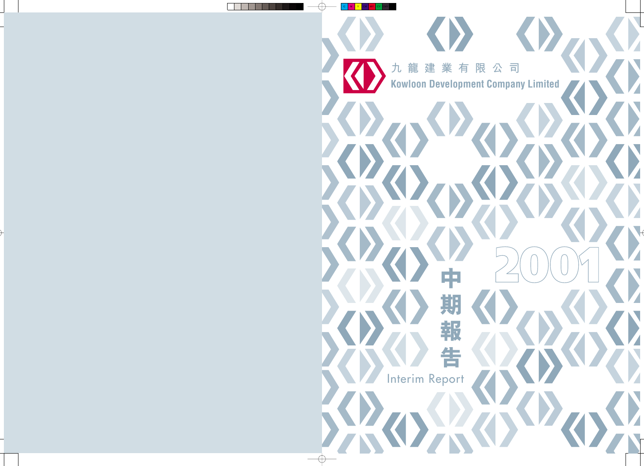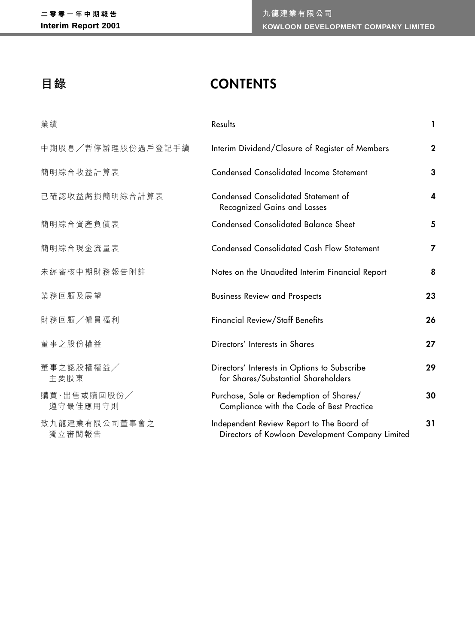# **目錄 CONTENTS**

| 業績                      | Results                                                                                       | L            |
|-------------------------|-----------------------------------------------------------------------------------------------|--------------|
| 中期股息/暫停辦理股份過戶登記手續       | Interim Dividend/Closure of Register of Members                                               | $\mathbf{2}$ |
| 簡明綜合收益計算表               | <b>Condensed Consolidated Income Statement</b>                                                | 3            |
| 已確認收益虧損簡明綜合計算表          | <b>Condensed Consolidated Statement of</b><br><b>Recognized Gains and Losses</b>              | 4            |
| 簡明綜合資產負債表               | <b>Condensed Consolidated Balance Sheet</b>                                                   | 5            |
| 簡明綜合現金流量表               | <b>Condensed Consolidated Cash Flow Statement</b>                                             | 7            |
| 未經審核中期財務報告附註            | Notes on the Unaudited Interim Financial Report                                               | 8            |
| 業務回顧及展望                 | <b>Business Review and Prospects</b>                                                          | 23           |
| 財務回顧/僱員福利               | <b>Financial Review/Staff Benefits</b>                                                        | 26           |
| 董事之股份權益                 | Directors' Interests in Shares                                                                | 27           |
| 董事之認股權權益/<br>主要股東       | Directors' Interests in Options to Subscribe<br>for Shares/Substantial Shareholders           | 29           |
| 購買·出售或贖回股份/<br>遵守最佳應用守則 | Purchase, Sale or Redemption of Shares/<br>Compliance with the Code of Best Practice          | 30           |
| 致九龍建業有限公司董事會之<br>獨立審閲報告 | Independent Review Report to The Board of<br>Directors of Kowloon Development Company Limited | 31           |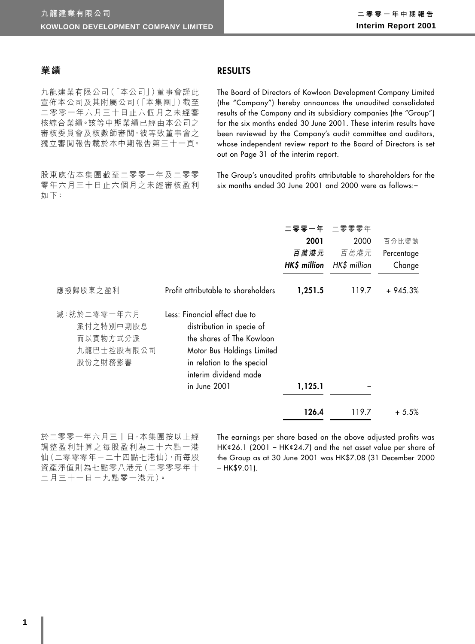## **業績**

**RESULTS**

九龍建業有限公司(「本公司」)董事會謹此 宣佈本公司及其附屬公司(「本集團」)截至 二零零一年六月三十日止六個月之未經審 核綜合業績。該等中期業績已經由本公司之 審核委員會及核數師審閲,彼等致董事會之 獨立審閱報告載於本中期報告第三十一頁。

股東應佔本集團截至二零零一年及二零零 零年六月三十日止六個月之未經審核盈利 如下:

The Board of Directors of Kowloon Development Company Limited (the "Company") hereby announces the unaudited consolidated results of the Company and its subsidiary companies (the "Group") for the six months ended 30 June 2001. These interim results have been reviewed by the Company's audit committee and auditors, whose independent review report to the Board of Directors is set out on Page 31 of the interim report.

The Group's unaudited profits attributable to shareholders for the six months ended 30 June 2001 and 2000 were as follows:–

|                                                               |                                                                                                                                                                                              | 二零零一年<br>2001 | 二零零零年<br>2000                     | 百分比變動                |
|---------------------------------------------------------------|----------------------------------------------------------------------------------------------------------------------------------------------------------------------------------------------|---------------|-----------------------------------|----------------------|
|                                                               |                                                                                                                                                                                              | 百萬港元          | 百萬港元<br>HK\$ million HK\$ million | Percentage<br>Change |
| 應撥歸股東之盈利                                                      | Profit attributable to shareholders                                                                                                                                                          | 1,251.5       | 119.7                             | $+945.3%$            |
| 減:就於二零零一年六月<br>派付之特別中期股息<br>而以實物方式分派<br>九龍巴士控股有限公司<br>股份之財務影響 | Less: Financial effect due to<br>distribution in specie of<br>the shares of The Kowloon<br>Motor Bus Holdings Limited<br>in relation to the special<br>interim dividend made<br>in June 2001 | 1,125.1       |                                   |                      |
|                                                               |                                                                                                                                                                                              | 126.4         | 119.7                             | $+5.5%$              |

於二零零一年六月三十日,本集團按以上經 調整盈利計算之每股盈利為二十六點一港 仙(二零零零年-二十四點七港仙),而每股 資產淨值則為七點零八港元(二零零零年十 二月三十一日-九點零一港元)。

The earnings per share based on the above adjusted profits was HK¢26.1 (2001 – HK¢24.7) and the net asset value per share of the Group as at 30 June 2001 was HK\$7.08 (31 December 2000  $-$  HK\$9.01).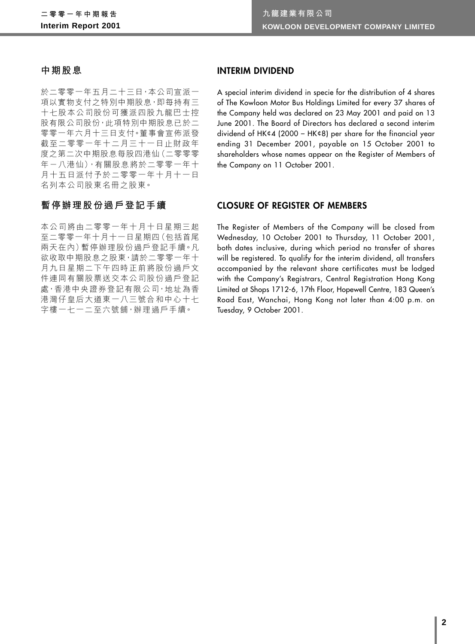### **中期股息**

於二零零一年五月二十三日,本公司宣派一 項以實物支付之特別中期股息,即每持有三 十七股本公司股份可獲派四股九龍巴士控 股有限公司股份,此項特別中期股息已於二 零零一年六月十三日支付。董事會宣佈派發 截至二零零一年十二月三十一日止財政年 度之第二次中期股息每股四港仙(二零零零 年-八港仙),有關股息將於二零零一年十 月十五日派付予於二零零一年十月十一日 名列本公司股東名冊之股東。

## **暫停辦理股份過戶登記手續**

本公司將由二零零一年十月十日星期三起 至二零零一年十月十一日星期四(包括首尾 兩天在內)暫停辦理股份過戶登記手續。凡 欲收取中期股息之股東,請於二零零一年十 月九日星期二下午四時正前將股份過戶文 件連同有關股票送交本公司股份過戶登記 處,香港中央證券登記有限公司,地址為香 港灣仔皇后大道東一八三號合和中心十七 字樓一七一二至六號舖,辦理過戶手續。

## **INTERIM DIVIDEND**

A special interim dividend in specie for the distribution of 4 shares of The Kowloon Motor Bus Holdings Limited for every 37 shares of the Company held was declared on 23 May 2001 and paid on 13 June 2001. The Board of Directors has declared a second interim dividend of HK¢4 (2000 – HK¢8) per share for the financial year ending 31 December 2001, payable on 15 October 2001 to shareholders whose names appear on the Register of Members of the Company on 11 October 2001.

#### **CLOSURE OF REGISTER OF MEMBERS**

The Register of Members of the Company will be closed from Wednesday, 10 October 2001 to Thursday, 11 October 2001, both dates inclusive, during which period no transfer of shares will be registered. To qualify for the interim dividend, all transfers accompanied by the relevant share certificates must be lodged with the Company's Registrars, Central Registration Hong Kong Limited at Shops 1712-6, 17th Floor, Hopewell Centre, 183 Queen's Road East, Wanchai, Hong Kong not later than 4:00 p.m. on Tuesday, 9 October 2001.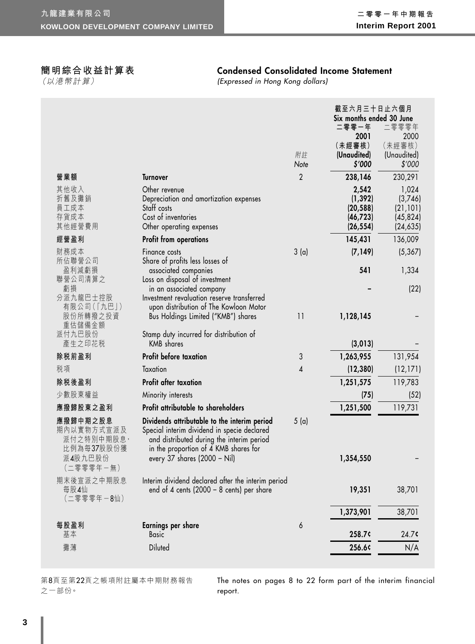## **簡明綜合收益計算表**

(以港幣計算)

## **Condensed Consolidated Income Statement**

(Expressed in Hong Kong dollars)

|                                                    |                                                                                                                                                                                   |                | 截至六月三十日止六個月<br>Six months ended 30 June |                       |
|----------------------------------------------------|-----------------------------------------------------------------------------------------------------------------------------------------------------------------------------------|----------------|-----------------------------------------|-----------------------|
|                                                    |                                                                                                                                                                                   |                | 二零零一年                                   | 二零零零年                 |
|                                                    |                                                                                                                                                                                   |                | 2001                                    | 2000                  |
|                                                    |                                                                                                                                                                                   | 附註             | (未經審核)                                  | (未經審核)                |
|                                                    |                                                                                                                                                                                   | Note           | (Unaudited)<br>\$′000                   | (Unaudited)<br>\$'000 |
| 營業額                                                | <b>Turnover</b>                                                                                                                                                                   | $\overline{2}$ | 238,146                                 | 230,291               |
| 其他收入                                               | Other revenue                                                                                                                                                                     |                | 2,542                                   | 1,024                 |
| 折舊及攤銷<br>員工成本                                      | Depreciation and amortization expenses<br>Staff costs                                                                                                                             |                | (1, 392)<br>(20, 588)                   | (3,746)<br>(21, 101)  |
| 存貨成本                                               | Cost of inventories                                                                                                                                                               |                | (46, 723)                               | (45, 824)             |
| 其他經營費用                                             | Other operating expenses                                                                                                                                                          |                | (26, 554)                               | (24, 635)             |
| 經營盈利                                               | <b>Profit from operations</b>                                                                                                                                                     |                | 145,431                                 | 136,009               |
| 財務成本                                               | Finance costs                                                                                                                                                                     | 3(a)           | (7, 149)                                | (5, 367)              |
| 所佔聯營公司<br>盈利減虧損                                    | Share of profits less losses of<br>associated companies                                                                                                                           |                | 541                                     | 1,334                 |
| 聯營公司清算之                                            | Loss on disposal of investment                                                                                                                                                    |                |                                         |                       |
| 虧損                                                 | in an associated company                                                                                                                                                          |                |                                         | (22)                  |
| 分派九龍巴士控股<br>有限公司(「九巴」)                             | Investment revaluation reserve transferred<br>upon distribution of The Kowloon Motor                                                                                              |                |                                         |                       |
| 股份所轉撥之投資                                           | Bus Holdings Limited ("KMB") shares                                                                                                                                               | 11             | 1,128,145                               |                       |
| 重估儲備金額<br>派付九巴股份                                   | Stamp duty incurred for distribution of                                                                                                                                           |                |                                         |                       |
| 產生之印花税                                             | <b>KMB</b> shares                                                                                                                                                                 |                | (3, 013)                                |                       |
| 除税前盈利                                              | Profit before taxation                                                                                                                                                            | 3              | 1,263,955                               | 131,954               |
| 税項                                                 | Taxation                                                                                                                                                                          | 4              | (12, 380)                               | (12, 171)             |
| 除税後盈利                                              | Profit after taxation                                                                                                                                                             |                | 1,251,575                               | 119,783               |
| 少數股東權益                                             | Minority interests                                                                                                                                                                |                | (75)                                    | (52)                  |
| 應撥歸股東之盈利                                           | Profit attributable to shareholders                                                                                                                                               |                | 1,251,500                               | 119,731               |
| 應撥歸中期之股息<br>期內以實物方式宣派及<br>派付之特別中期股息,<br>比例為每37股股份獲 | Dividends attributable to the interim period<br>Special interim dividend in specie declared<br>and distributed during the interim period<br>in the proportion of 4 KMB shares for | 5(a)           |                                         |                       |
| 派4股九巴股份<br>(二零零零年一無)                               | every 37 shares (2000 – Nil)                                                                                                                                                      |                | 1,354,550                               |                       |
| 期末後宣派之中期股息<br>每股4仙<br>(二零零零年-8仙)                   | Interim dividend declared after the interim period<br>end of 4 cents (2000 – 8 cents) per share                                                                                   |                | 19,351                                  | 38,701                |
|                                                    |                                                                                                                                                                                   |                | 1,373,901                               | 38,701                |
| 每股盈利                                               | Earnings per share                                                                                                                                                                | 6              |                                         |                       |
| 基本                                                 | <b>Basic</b>                                                                                                                                                                      |                | 258.7¢                                  | 24.7c                 |
| 攤薄                                                 | Diluted                                                                                                                                                                           |                | 256.6¢                                  | N/A                   |

第8頁至第22頁之帳項附註屬本中期財務報告 之一部份。

The notes on pages 8 to 22 form part of the interim financial report.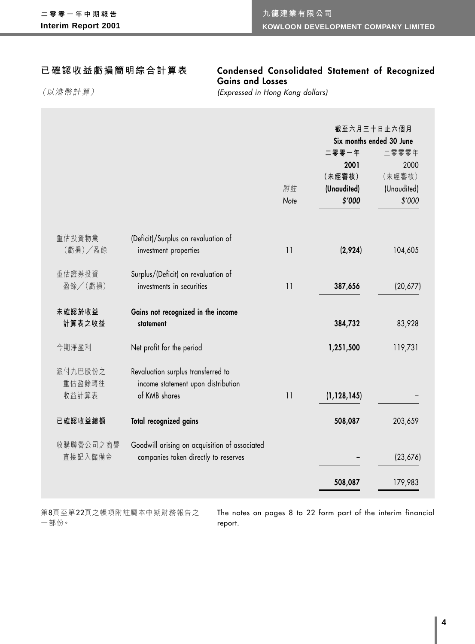## **已確認收益虧損簡明綜合計算表**

## **Condensed Consolidated Statement of Recognized Gains and Losses**

(以港幣計算)

(Expressed in Hong Kong dollars)

|           |                                               |            | 截至六月三十日止六個月<br>Six months ended 30 June |             |  |
|-----------|-----------------------------------------------|------------|-----------------------------------------|-------------|--|
|           |                                               |            | 二零零一年                                   | 二零零零年       |  |
|           |                                               |            | 2001                                    | 2000        |  |
|           |                                               |            | (未經審核)                                  | (未經審核)      |  |
|           |                                               | 附註<br>Note | (Unaudited)                             | (Unaudited) |  |
|           |                                               |            | \$′000                                  | \$'000      |  |
| 重估投資物業    | (Deficit)/Surplus on revaluation of           |            |                                         |             |  |
| (虧損)/盈餘   | investment properties                         | 11         | (2,924)                                 | 104,605     |  |
| 重估證券投資    | Surplus/(Deficit) on revaluation of           |            |                                         |             |  |
| 盈餘/(虧損)   | investments in securities                     | 11         | 387,656                                 | (20,677)    |  |
| 未確認於收益    | Gains not recognized in the income            |            |                                         |             |  |
| 計算表之收益    | statement                                     |            | 384,732                                 | 83,928      |  |
| 今期淨盈利     | Net profit for the period                     |            | 1,251,500                               | 119,731     |  |
| 派付九巴股份之   | Revaluation surplus transferred to            |            |                                         |             |  |
| 重估盈餘轉往    | income statement upon distribution            |            |                                         |             |  |
| 收益計算表     | of KMB shares                                 | 11         | (1, 128, 145)                           |             |  |
| 已確認收益總額   | Total recognized gains                        |            | 508,087                                 | 203,659     |  |
| 收購聯營公司之商譽 | Goodwill arising on acquisition of associated |            |                                         |             |  |
| 直接記入儲備金   | companies taken directly to reserves          |            |                                         | (23, 676)   |  |
|           |                                               |            | 508,087                                 | 179,983     |  |

第8頁至第22頁之帳項附註屬本中期財務報告之 一部份。

The notes on pages 8 to 22 form part of the interim financial report.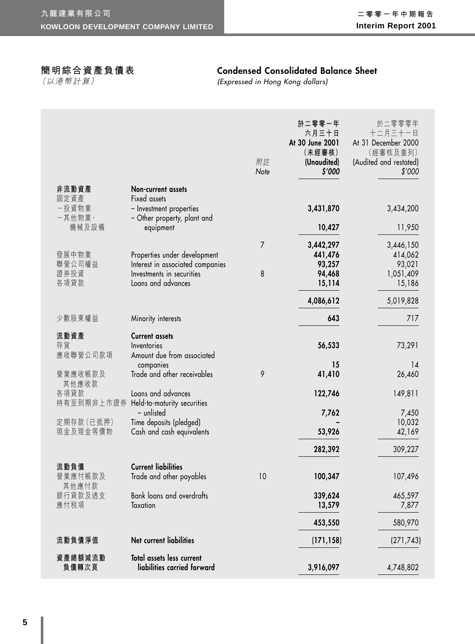## **簡明綜合資產負債表**

(以港幣計算)

## **Condensed Consolidated Balance Sheet**

(Expressed in Hong Kong dollars)

|                         |                                                                        | 附註<br>Note | 於二零零一年<br>六月三十日<br>At 30 June 2001<br>(未經審核)<br>(Unaudited)<br>\$′000 | 於二零零零年<br>十二月三十一日<br>At 31 December 2000<br>(經審核及重列)<br>(Audited and restated)<br>\$'000 |
|-------------------------|------------------------------------------------------------------------|------------|-----------------------------------------------------------------------|------------------------------------------------------------------------------------------|
| 非流動資產                   | Non-current assets                                                     |            |                                                                       |                                                                                          |
| 固定資產<br>一投資物業<br>一其他物業、 | Fixed assets<br>- Investment properties<br>- Other property, plant and |            | 3,431,870                                                             | 3,434,200                                                                                |
| 機械及設備                   | equipment                                                              |            | 10,427                                                                | 11,950                                                                                   |
|                         |                                                                        | 7          | 3,442,297                                                             | 3,446,150                                                                                |
| 發展中物業                   | Properties under development                                           |            | 441,476                                                               | 414,062                                                                                  |
| 聯營公司權益                  | Interest in associated companies                                       |            | 93,257                                                                | 93,021                                                                                   |
| 證券投資<br>各項貸款            | Investments in securities<br>Loans and advances                        | 8          | 94,468                                                                | 1,051,409                                                                                |
|                         |                                                                        |            | 15,114                                                                | 15,186                                                                                   |
|                         |                                                                        |            | 4,086,612                                                             | 5,019,828                                                                                |
| 少數股東權益                  | Minority interests                                                     |            | 643                                                                   | 717                                                                                      |
| 流動資產                    | <b>Current assets</b>                                                  |            |                                                                       |                                                                                          |
| 存貨<br>應收聯營公司款項          | Inventories<br>Amount due from associated                              |            | 56,533                                                                | 73,291                                                                                   |
|                         | companies                                                              |            | 15                                                                    | 14                                                                                       |
| 營業應收帳款及                 | Trade and other receivables                                            | 9          | 41,410                                                                | 26,460                                                                                   |
| 其他應收款<br>各項貸款           | Loans and advances                                                     |            | 122,746                                                               | 149,811                                                                                  |
| 持有至到期非上市證券              | Held-to-maturity securities                                            |            |                                                                       |                                                                                          |
|                         | - unlisted                                                             |            | 7,762                                                                 | 7,450                                                                                    |
| 定期存款 (已抵押)<br>現金及現金等價物  | Time deposits (pledged)                                                |            |                                                                       | 10,032                                                                                   |
|                         | Cash and cash equivalents                                              |            | 53,926                                                                | 42,169                                                                                   |
|                         |                                                                        |            | 282,392                                                               | 309,227                                                                                  |
| 流動負債                    | <b>Current liabilities</b>                                             |            |                                                                       |                                                                                          |
| 營業應付帳款及<br>其他應付款        | Trade and other payables                                               | 10         | 100,347                                                               | 107,496                                                                                  |
| 銀行貸款及透支                 | <b>Bank loans and overdrafts</b>                                       |            | 339,624                                                               | 465,597                                                                                  |
| 應付税項                    | Taxation                                                               |            | 13,579                                                                | 7,877                                                                                    |
|                         |                                                                        |            | 453,550                                                               | 580,970                                                                                  |
| 流動負債淨值                  | Net current liabilities                                                |            | (171, 158)                                                            | (271, 743)                                                                               |
| 資產總額減流動<br>負債轉次頁        | Total assets less current<br>liabilities carried forward               |            | 3,916,097                                                             | 4,748,802                                                                                |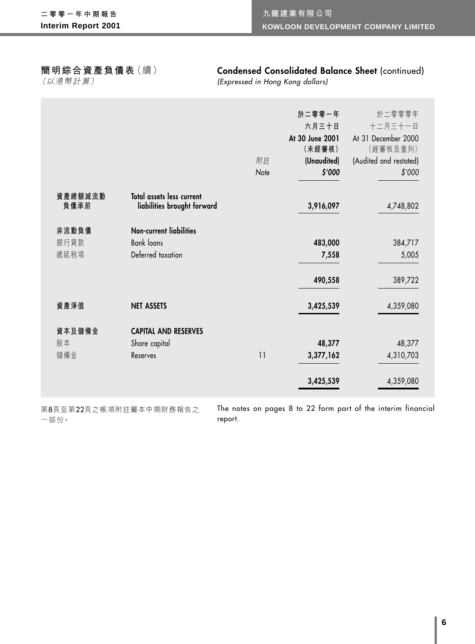## **簡明綜合資產負債表**(續)

(以港幣計算)

## **Condensed Consolidated Balance Sheet** (continued)

(Expressed in Hong Kong dollars)

|                 |                                                          |      | 於二零零一年          | 於二零零零年                 |
|-----------------|----------------------------------------------------------|------|-----------------|------------------------|
|                 |                                                          |      | 六月三十日           | 十二月三十一日                |
|                 |                                                          |      | At 30 June 2001 | At 31 December 2000    |
|                 |                                                          |      | (未經審核)          | (經審核及重列)               |
|                 |                                                          | 附註   | (Unaudited)     | (Audited and restated) |
|                 |                                                          | Note | \$′000          | \$'000                 |
| 資產總額減流動<br>負債承前 | Total assets less current<br>liabilities brought forward |      | 3,916,097       | 4,748,802              |
|                 |                                                          |      |                 |                        |
| 非流動負債           | <b>Non-current liabilities</b>                           |      |                 |                        |
| 銀行貸款            | <b>Bank loans</b>                                        |      | 483,000         | 384,717                |
| 遞延税項            | Deferred taxation                                        |      | 7,558           | 5,005                  |
|                 |                                                          |      | 490,558         | 389,722                |
| 資產淨值            | <b>NET ASSETS</b>                                        |      | 3,425,539       | 4,359,080              |
| 資本及儲備金          | <b>CAPITAL AND RESERVES</b>                              |      |                 |                        |
| 股本              | Share capital                                            |      | 48,377          | 48,377                 |
| 儲備金             | Reserves                                                 | 11   | 3,377,162       | 4,310,703              |
|                 |                                                          |      | 3,425,539       | 4,359,080              |

第8頁至第22頁之帳項附註屬本中期財務報告之 一部份。

The notes on pages 8 to 22 form part of the interim financial report.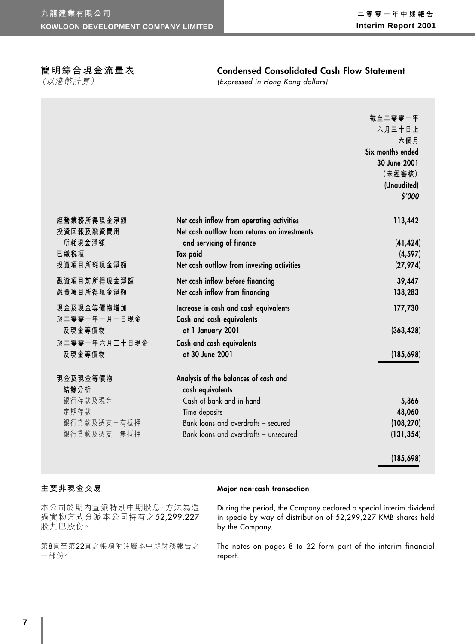## **簡明綜合現金流量表**

(以港幣計算)

## **Condensed Consolidated Cash Flow Statement**

(Expressed in Hong Kong dollars)

|                                                                   |                                                                                                                                                                                       | 截至二零零一年<br>六月三十日止<br>六個月<br>Six months ended<br>30 June 2001<br>(未經審核)<br>(Unaudited)<br>\$'000 |
|-------------------------------------------------------------------|---------------------------------------------------------------------------------------------------------------------------------------------------------------------------------------|-------------------------------------------------------------------------------------------------|
| 經營業務所得現金淨額<br>投資回報及融資費用<br>所耗現金淨額<br>已繳税項<br>投資項目所耗現金淨額           | Net cash inflow from operating activities<br>Net cash outflow from returns on investments<br>and servicing of finance<br>Tax paid<br>Net cash outflow from investing activities       | 113,442<br>(41, 424)<br>(4, 597)<br>(27, 974)                                                   |
| 融資項目前所得現金淨額<br>融資項目所得現金淨額                                         | Net cash inflow before financing<br>Net cash inflow from financing                                                                                                                    | 39,447<br>138,283                                                                               |
| 現金及現金等價物增加<br>於二零零一年一月一日現金<br>及現金等價物<br>於二零零一年六月三十日現金<br>及現金等價物   | Increase in cash and cash equivalents<br>Cash and cash equivalents<br>at 1 January 2001<br>Cash and cash equivalents<br>at 30 June 2001                                               | 177,730<br>(363, 428)<br>(185, 698)                                                             |
| 現金及現金等價物<br>結餘分析<br>銀行存款及現金<br>定期存款<br>銀行貸款及透支一有抵押<br>銀行貸款及透支一無抵押 | Analysis of the balances of cash and<br>cash equivalents<br>Cash at bank and in hand<br>Time deposits<br>Bank loans and overdrafts - secured<br>Bank loans and overdrafts - unsecured | 5,866<br>48,060<br>(108, 270)<br>(131, 354)<br>(185, 698)                                       |

## **主要非現金交易**

**Major non-cash transaction**

本公司於期內宣派特別中期股息,方法為透 過實物方式分派本公司持有之52,299,227 股九巴股份。

第8頁至第22頁之帳項附註屬本中期財務報告之 一部份。

During the period, the Company declared a special interim dividend in specie by way of distribution of 52,299,227 KMB shares held by the Company.

The notes on pages 8 to 22 form part of the interim financial report.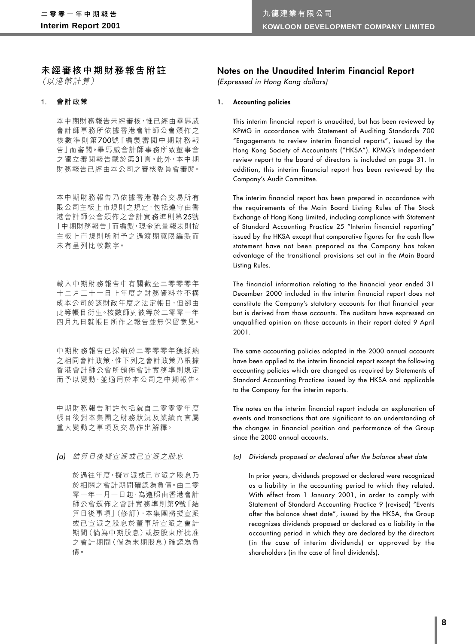### **未經審核中期財務報告附註** (以港幣計算)

**1. 會計政策**

本中期財務報告未經審核,惟已經由畢馬威 會計師事務所依據香港會計師公會頒佈之 核數準則第700號「編製審閲中期財務報 告」而審閱。畢馬威會計師事務所致董事會 之獨立審閱報告載於第31頁。此外,本中期 財務報告已經由本公司之審核委員會審閱。

本中期財務報告乃依據香港聯合交易所有 限公司主板上市規則之規定,包括遵守由香 港會計師公會頒佈之會計實務準則第25號 「中期財務報告」而編製,現金流量報表則按 主板上市規則所附予之過渡期寬限編製而 未有呈列比較數字。

載入中期財務報告中有關截至二零零零年 十二月三十一日止年度之財務資料並不構 成本公司於該財政年度之法定帳目,但卻由 此等帳目衍生。核數師對彼等於二零零一年 四月九日就帳目所作之報告並無保留意見。

中期財務報告已採納於二零零零年獲採納 之相同會計政策,惟下列之會計政策乃根據 香港會計師公會所頒佈會計實務準則規定 而予以變動,並適用於本公司之中期報告。

中期財務報告附註包括就自二零零零年度 帳目後對本集團之財務狀況及業績而言屬 重大變動之事項及交易作出解釋。

(a) 結算日後擬宣派或已宣派之股息

於過往年度,擬宣派或已宣派之股息乃 於相關之會計期間確認為負債。由二零 零一年一月一日起,為遵照由香港會計 師公會頒佈之會計實務準則第9號「結 算日後事項」(修訂),本集團將擬宣派 或已宣派之股息於董事所宣派之會計 期間(倘為中期股息)或按股東所批准 之會計期間(倘為末期股息)確認為負 債。

## **Notes on the Unaudited Interim Financial Report**

(Expressed in Hong Kong dollars)

#### **1. Accounting policies**

This interim financial report is unaudited, but has been reviewed by KPMG in accordance with Statement of Auditing Standards 700 "Engagements to review interim financial reports", issued by the Hong Kong Society of Accountants ("HKSA"). KPMG's independent review report to the board of directors is included on page 31. In addition, this interim financial report has been reviewed by the Company's Audit Committee.

The interim financial report has been prepared in accordance with the requirements of the Main Board Listing Rules of The Stock Exchange of Hong Kong Limited, including compliance with Statement of Standard Accounting Practice 25 "Interim financial reporting" issued by the HKSA except that comparative figures for the cash flow statement have not been prepared as the Company has taken advantage of the transitional provisions set out in the Main Board Listing Rules.

The financial information relating to the financial year ended 31 December 2000 included in the interim financial report does not constitute the Company's statutory accounts for that financial year but is derived from those accounts. The auditors have expressed an unqualified opinion on those accounts in their report dated 9 April 2001.

The same accounting policies adopted in the 2000 annual accounts have been applied to the interim financial report except the following accounting policies which are changed as required by Statements of Standard Accounting Practices issued by the HKSA and applicable to the Company for the interim reports.

The notes on the interim financial report include an explanation of events and transactions that are significant to an understanding of the changes in financial position and performance of the Group since the 2000 annual accounts.

#### (a) Dividends proposed or declared after the balance sheet date

In prior years, dividends proposed or declared were recognized as a liability in the accounting period to which they related. With effect from 1 January 2001, in order to comply with Statement of Standard Accounting Practice 9 (revised) "Events after the balance sheet date", issued by the HKSA, the Group recognizes dividends proposed or declared as a liability in the accounting period in which they are declared by the directors (in the case of interim dividends) or approved by the shareholders (in the case of final dividends).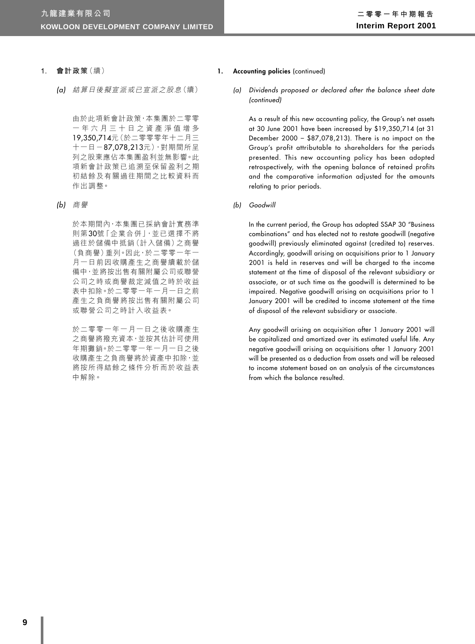- **1. 會計政策**(續)
	- (a) 結算日後擬宣派或已宣派之股息(續)

由於此項新會計政策,本集團於二零零 一年六月三十日之資產淨值增多 19,350,714元(於二零零零年十二月三  $+-$ 日-87,078,213元),對期間所呈 列之股東應佔本集團盈利並無影響。此 項新會計政策已追溯至保留盈利之期 初結餘及有關過往期間之比較資料而 作出調整。

(b) 商譽

於本期間內,本集團已採納會計實務準 則第30號「企業合併」,並已選擇不將 過往於儲備中抵銷(計入儲備)之商譽 (負商譽)重列。因此,於二零零一年一 月一日前因收購產生之商譽續載於儲 備中,並將按出售有關附屬公司或聯營 公司之時或商譽裁定減值之時於收益 表中扣除。於二零零一年一月一日之前 產生之負商譽將按出售有關附屬公司 或聯營公司之時計入收益表。

於二零零一年一月一日之後收購產生 之商譽將撥充資本,並按其估計可使用 年期攤銷。於二零零一年一月一日之後 收購產生之負商譽將於資產中扣除,並 將按所得結餘之條件分析而於收益表 中解除。

- 1. **Accounting policies** (continued)
	- (a) Dividends proposed or declared after the balance sheet date (continued)

As a result of this new accounting policy, the Group's net assets at 30 June 2001 have been increased by \$19,350,714 (at 31 December 2000 – \$87,078,213). There is no impact on the Group's profit attributable to shareholders for the periods presented. This new accounting policy has been adopted retrospectively, with the opening balance of retained profits and the comparative information adjusted for the amounts relating to prior periods.

(b) Goodwill

In the current period, the Group has adopted SSAP 30 "Business combinations" and has elected not to restate goodwill (negative goodwill) previously eliminated against (credited to) reserves. Accordingly, goodwill arising on acquisitions prior to 1 January 2001 is held in reserves and will be charged to the income statement at the time of disposal of the relevant subsidiary or associate, or at such time as the goodwill is determined to be impaired. Negative goodwill arising on acquisitions prior to 1 January 2001 will be credited to income statement at the time of disposal of the relevant subsidiary or associate.

Any goodwill arising on acquisition after 1 January 2001 will be capitalized and amortized over its estimated useful life. Any negative goodwill arising on acquisitions after 1 January 2001 will be presented as a deduction from assets and will be released to income statement based on an analysis of the circumstances from which the balance resulted.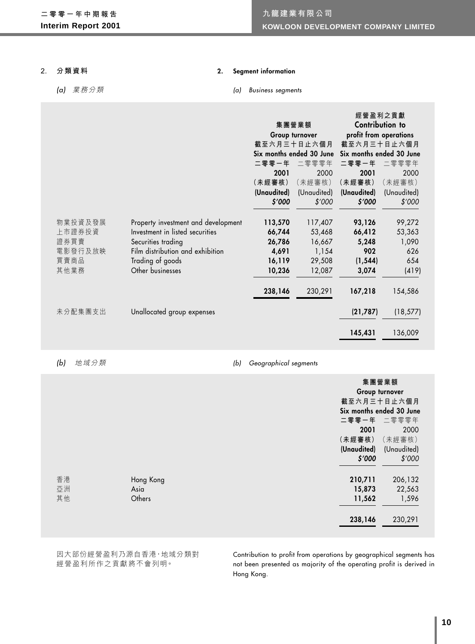#### **2. 分類資料**

#### **2. Segment information**

## (a) 業務分類

#### (a) Business segments

|         |                                     |             |                          | 經營盈利之貢獻                  |                 |
|---------|-------------------------------------|-------------|--------------------------|--------------------------|-----------------|
|         |                                     |             | 集團營業額                    |                          | Contribution to |
|         |                                     |             | Group turnover           | profit from operations   |                 |
|         |                                     |             | 截至六月三十日止六個月              | 截至六月三十日止六個月              |                 |
|         |                                     |             | Six months ended 30 June | Six months ended 30 June |                 |
|         |                                     | 二零零一年       | 二零零零年                    | 二零零一年                    | 二零零零年           |
|         |                                     | 2001        | 2000                     | 2001                     | 2000            |
|         |                                     | (未經審核)      | (未經審核)                   | (未經審核)                   | (未經審核)          |
|         |                                     | (Unaudited) | (Unaudited)              | (Unaudited)              | (Unaudited)     |
|         |                                     | \$′000      | \$'000                   | \$′000                   | \$'000          |
| 物業投資及發展 | Property investment and development | 113,570     | 117,407                  | 93,126                   | 99,272          |
| 上市證券投資  | Investment in listed securities     | 66,744      | 53,468                   | 66,412                   | 53,363          |
| 證券買賣    | Securities trading                  | 26,786      | 16,667                   | 5,248                    | 1,090           |
| 電影發行及放映 | Film distribution and exhibition    | 4,691       | 1,154                    | 902                      | 626             |
| 買賣商品    | Trading of goods                    | 16,119      | 29,508                   | (1, 544)                 | 654             |
| 其他業務    | Other businesses                    | 10,236      | 12,087                   | 3,074                    | (419)           |
|         |                                     | 238,146     | 230,291                  | 167,218                  | 154,586         |
| 未分配集團支出 | Unallocated group expenses          |             |                          | (21, 787)                | (18, 577)       |
|         |                                     |             |                          | 145,431                  | 136,009         |

(b) 地域分類 (b) Geographical segments

|    |           | 集團營業額<br>Group turnover    |  |  |
|----|-----------|----------------------------|--|--|
|    |           | 截至六月三十日止六個月                |  |  |
|    |           | Six months ended 30 June   |  |  |
|    |           | 二零零一年 二零零零年                |  |  |
|    |           | 2001<br>2000               |  |  |
|    |           | (未經審核)<br>(未經審核)           |  |  |
|    |           | (Unaudited)<br>(Unaudited) |  |  |
|    |           | \$′000<br>\$'000           |  |  |
|    |           |                            |  |  |
| 香港 | Hong Kong | 210,711<br>206,132         |  |  |
| 亞洲 | Asia      | 22,563<br>15,873           |  |  |
| 其他 | Others    | 11,562<br>1,596            |  |  |
|    |           |                            |  |  |
|    |           | 230,291<br>238,146         |  |  |
|    |           |                            |  |  |
|    |           |                            |  |  |

因大部份經營盈利乃源自香港,地域分類對 經營盈利所作之貢獻將不會列明。

Contribution to profit from operations by geographical segments has not been presented as majority of the operating profit is derived in Hong Kong.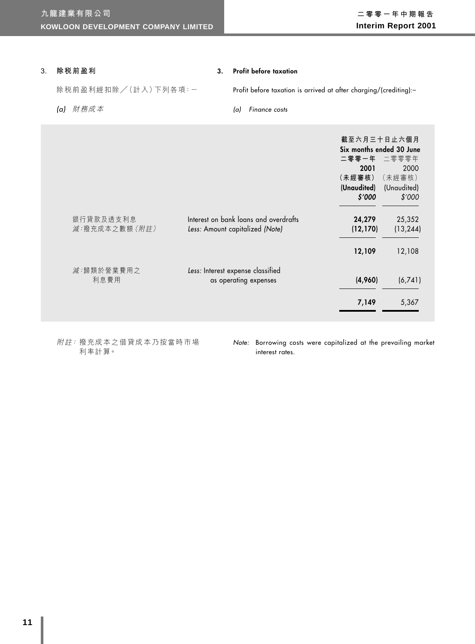#### **3. 除稅前盈利**

#### **3. Profit before taxation**

除税前盈利經扣除/(計入)下列各項:-

(a) 財務成本

Profit before taxation is arrived at after charging/(crediting):–

(a) Finance costs

|                |                                       | 截至六月三十日止六個月<br>Six months ended 30 June<br>二零零一年 二零零零年 |             |
|----------------|---------------------------------------|--------------------------------------------------------|-------------|
|                |                                       | 2001                                                   | 2000        |
|                |                                       | (未經審核)                                                 | (未經審核)      |
|                |                                       | (Unaudited)                                            | (Unaudited) |
|                |                                       | \$′000                                                 | \$'000      |
| 銀行貸款及透支利息      | Interest on bank loans and overdrafts | 24,279                                                 | 25,352      |
| 減:撥充成本之數額 (附註) | Less: Amount capitalized (Note)       | (12, 170)                                              | (13, 244)   |
|                |                                       | 12,109                                                 | 12,108      |
| 減:歸類於營業費用之     | Less: Interest expense classified     |                                                        |             |
| 利息費用           | as operating expenses                 | (4,960)                                                | (6,741)     |
|                |                                       | 7,149                                                  | 5,367       |

附註: 撥充成本之借貸成本乃按當時市場 利率計算。

Note: Borrowing costs were capitalized at the prevailing market interest rates.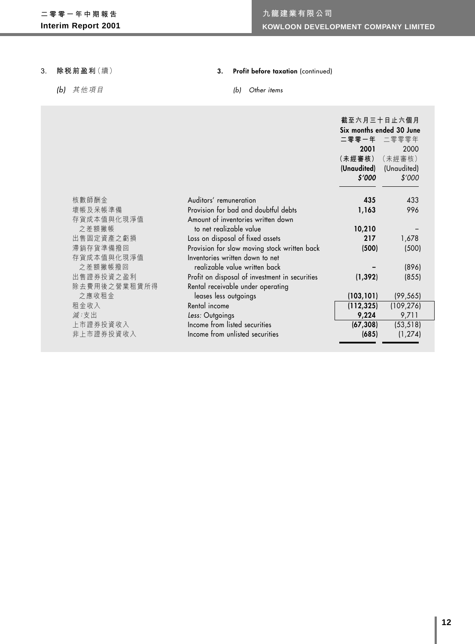#### **3. 除稅前盈利**(續)

(b) 其他項目

## **3. Profit before taxation** (continued)

### (b) Other items

|              |                                                | 截至六月三十日止六個月<br>Six months ended 30 June |             |
|--------------|------------------------------------------------|-----------------------------------------|-------------|
|              |                                                | 二零零一年 二零零零年                             |             |
|              |                                                | 2001                                    | 2000        |
|              |                                                | (未經審核)                                  | (未經審核)      |
|              |                                                | (Unaudited)                             | (Unaudited) |
|              |                                                | \$′000                                  | \$'000      |
| 核數師酬金        | Auditors' remuneration                         | 435                                     | 433         |
| 壞帳及呆帳準備      | Provision for bad and doubtful debts           | 1,163                                   | 996         |
| 存貨成本值與化現淨值   | Amount of inventories written down             |                                         |             |
| 之差額撇帳        | to net realizable value                        | 10,210                                  |             |
| 出售固定資產之虧損    | Loss on disposal of fixed assets               | 217                                     | 1,678       |
| 滯銷存貨準備撥回     | Provision for slow moving stock written back   | (500)                                   | (500)       |
| 存貨成本值與化現淨值   | Inventories written down to net                |                                         |             |
| 之差額撇帳撥回      | realizable value written back                  |                                         | (896)       |
| 出售證券投資之盈利    | Profit on disposal of investment in securities | (1, 392)                                | (855)       |
| 除去費用後之營業租賃所得 | Rental receivable under operating              |                                         |             |
| 之應收租金        | leases less outgoings                          | (103, 101)                              | (99, 565)   |
| 租金收入         | Rental income                                  | (112, 325)                              | (109, 276)  |
| 減:支出         | Less: Outgoings                                | 9,224                                   | 9,711       |
| 上市證券投資收入     | Income from listed securities                  | (67, 308)                               | (53, 518)   |
| 非上市證券投資收入    | Income from unlisted securities                | (685)                                   | (1, 274)    |
|              |                                                |                                         |             |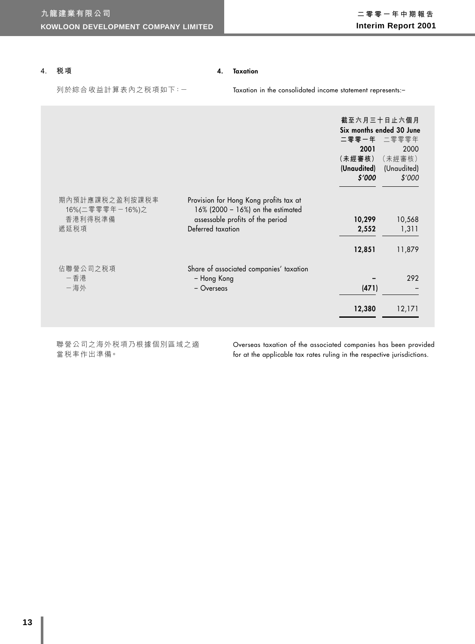#### **4. 稅項**

#### **4. Taxation**

列於綜合收益計算表內之税項如下:-

Taxation in the consolidated income statement represents:–

|                                                      |                                                                                                                                      | 二零零一年<br>2001<br>(未經審核)<br>\$′000 | 截至六月三十日止六個月<br>Six months ended 30 June<br>二零零零年<br>2000<br>(未經審核)<br>(Unaudited) (Unaudited)<br>\$'000 |
|------------------------------------------------------|--------------------------------------------------------------------------------------------------------------------------------------|-----------------------------------|---------------------------------------------------------------------------------------------------------|
| 期內預計應課税之盈利按課税率<br>16%(二零零零年-16%)之<br>香港利得税準備<br>遞延税項 | Provision for Hong Kong profits tax at<br>16% (2000 - 16%) on the estimated<br>assessable profits of the period<br>Deferred taxation | 10,299<br>2,552                   | 10,568<br>1,311                                                                                         |
|                                                      |                                                                                                                                      | 12,851                            | 11,879                                                                                                  |
| 佔聯營公司之税項<br>一香港<br>一海外                               | Share of associated companies' taxation<br>- Hong Kong<br>- Overseas                                                                 | (471)<br>12,380                   | 292<br>12,171                                                                                           |

聯營公司之海外稅項乃根據個別區域之適 當稅率作出準備。

Overseas taxation of the associated companies has been provided for at the applicable tax rates ruling in the respective jurisdictions.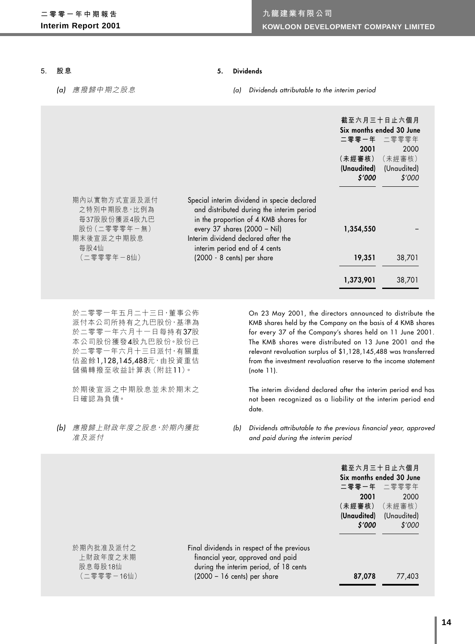#### **5. 股息**

#### (a) 應撥歸中期之股息

#### **5. Dividends**

(a) Dividends attributable to the interim period

|                                                                                   |                                                                                                                                                                                                                                             | 2001<br>(未經審核)<br>\$'000 | 截至六月三十日止六個月<br>Six months ended 30 June<br>二零零一年 二零零零年<br>2000<br>(未經審核)<br>(Unaudited) (Unaudited)<br>\$'000 |
|-----------------------------------------------------------------------------------|---------------------------------------------------------------------------------------------------------------------------------------------------------------------------------------------------------------------------------------------|--------------------------|---------------------------------------------------------------------------------------------------------------|
| 期內以實物方式宣派及派付<br>之特別中期股息,比例為<br>每37股股份獲派4股九巴<br>股份 (二零零零年一無)<br>期末後宣派之中期股息<br>每股4仙 | Special interim dividend in specie declared<br>and distributed during the interim period<br>in the proportion of 4 KMB shares for<br>every 37 shares $(2000 - Nil)$<br>Interim dividend declared after the<br>interim period end of 4 cents | 1,354,550                |                                                                                                               |
| (二零零零年-8仙)                                                                        | (2000 - 8 cents) per share                                                                                                                                                                                                                  | 19,351                   | 38,701                                                                                                        |
|                                                                                   |                                                                                                                                                                                                                                             | 1,373,901                | 38,701                                                                                                        |

於二零零一年五月二十三日,董事公佈 派付本公司所持有之九巴股份,基準為 於二零零一年六月十一日每持有37股 本公司股份獲發4股九巴股份。股份已 於二零零一年六月十三日派付,有關重 估盈餘1,128,145,488元,由投資重估 儲備轉撥至收益計算表(附註11)。

於期後宣派之中期股息並未於期末之 日確認為負債。

(b) 應撥歸上財政年度之股息,於期內獲批 准及派付

On 23 May 2001, the directors announced to distribute the KMB shares held by the Company on the basis of 4 KMB shares for every 37 of the Company's shares held on 11 June 2001. The KMB shares were distributed on 13 June 2001 and the relevant revaluation surplus of \$1,128,145,488 was transferred from the investment revaluation reserve to the income statement (note 11).

The interim dividend declared after the interim period end has not been recognized as a liability at the interim period end date.

(b) Dividends attributable to the previous financial year, approved and paid during the interim period

|                                                |                                                                                                                                                                    | 截至六月三十日止六個月<br>二零零一年 二零零零年<br>2001 | Six months ended 30 June<br>2000            |
|------------------------------------------------|--------------------------------------------------------------------------------------------------------------------------------------------------------------------|------------------------------------|---------------------------------------------|
|                                                |                                                                                                                                                                    | (未經審核)<br>\$′000                   | (未經審核)<br>(Unaudited) (Unaudited)<br>\$'000 |
| 於期內批准及派付之<br>上財政年度之末期<br>股息每股18仙<br>(二零零零-16仙) | Final dividends in respect of the previous<br>financial year, approved and paid<br>during the interim period, of 18 cents<br>$(2000 - 16 \text{ cents})$ per share | 87,078                             | 77,403                                      |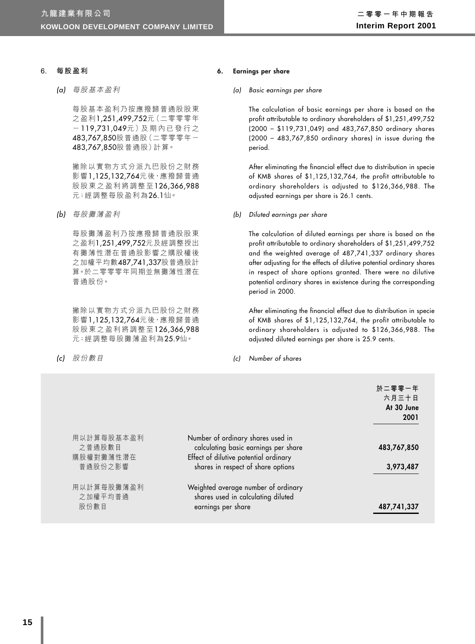#### **6. 每股盈利**

(a) 每股基本盈利

每股基本盈利乃按應撥歸普通股股東 之盈利1,251,499,752元(二零零零年 - 119,731,049元)及 期 內 已 發 行 之 483,767,850股普通股(二零零零年一 483,767,850股普通股)計算。

撇除以實物方式分派九巴股份之財務 影響1,125,132,764元後,應撥歸普通 股股東之盈利將調整至126,366,988 元;經調整每股盈利為26.1仙。

(b) 每股攤薄盈利

每股攤薄盈利乃按應撥歸普通股股東 之盈利1,251,499,752元及經調整授出 有攤薄性潛在普通股影響之購股權後 之加權平均數487,741,337股普通股計 算。於二零零零年同期並無攤薄性潛在 普通股份。

撇除以實物方式分派九巴股份之財務 影響1,125,132,764元後, 應撥歸普通 股股東之盈利將調整至126,366,988 元;經調整每股攤薄盈利為25.9仙。

(c) 股份數目

#### **6. Earnings per share**

#### (a) Basic earnings per share

The calculation of basic earnings per share is based on the profit attributable to ordinary shareholders of \$1,251,499,752 (2000 – \$119,731,049) and 483,767,850 ordinary shares (2000 – 483,767,850 ordinary shares) in issue during the period.

After eliminating the financial effect due to distribution in specie of KMB shares of \$1,125,132,764, the profit attributable to ordinary shareholders is adjusted to \$126,366,988. The adjusted earnings per share is 26.1 cents.

(b) Diluted earnings per share

The calculation of diluted earnings per share is based on the profit attributable to ordinary shareholders of \$1,251,499,752 and the weighted average of 487,741,337 ordinary shares after adjusting for the effects of dilutive potential ordinary shares in respect of share options granted. There were no dilutive potential ordinary shares in existence during the corresponding period in 2000.

After eliminating the financial effect due to distribution in specie of KMB shares of \$1,125,132,764, the profit attributable to ordinary shareholders is adjusted to \$126,366,988. The adjusted diluted earnings per share is 25.9 cents.

(c) Number of shares

|                                                                           | 於二零零一年<br>六月三十日<br>At 30 June<br>2001                       |
|---------------------------------------------------------------------------|-------------------------------------------------------------|
| Number of ordinary shares used in<br>calculating basic earnings per share | 483,767,850                                                 |
| shares in respect of share options                                        | 3,973,487                                                   |
| Weighted average number of ordinary<br>shares used in calculating diluted | 487,741,337                                                 |
|                                                                           | Effect of dilutive potential ordinary<br>earnings per share |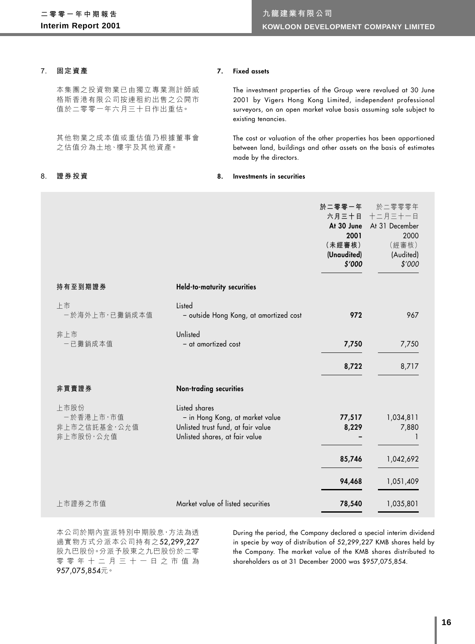#### **7. 固定資產**

#### **7. Fixed assets**

本集團之投資物業已由獨立專業測計師威 格斯香港有限公司按連租約出售之公開市 值於二零零一年六月三十日作出重估。

其他物業之成本值或重估值乃根據董事會 之估值分為土地、樓宇及其他資產。

The investment properties of the Group were revalued at 30 June 2001 by Vigers Hong Kong Limited, independent professional surveyors, on an open market value basis assuming sale subject to existing tenancies.

The cost or valuation of the other properties has been apportioned between land, buildings and other assets on the basis of estimates made by the directors.

#### **8. 證券投資**

### **8. Investments in securities**

|                                                |                                                                                                                          | 於二零零一年<br>六月三十日<br>At 30 June<br>2001<br>(未經審核)<br>(Unaudited)<br>\$′000 | 於二零零零年<br>十二月三十一日<br>At 31 December<br>2000<br>(經審核)<br>(Audited)<br>\$'000 |
|------------------------------------------------|--------------------------------------------------------------------------------------------------------------------------|--------------------------------------------------------------------------|-----------------------------------------------------------------------------|
| 持有至到期證券                                        | Held-to-maturity securities                                                                                              |                                                                          |                                                                             |
| 上市<br>一於海外上市, 已攤銷成本值                           | Listed<br>- outside Hong Kong, at amortized cost                                                                         | 972                                                                      | 967                                                                         |
| 非上市<br>一已攤銷成本值                                 | Unlisted<br>- at amortized cost                                                                                          | 7,750                                                                    | 7,750                                                                       |
|                                                |                                                                                                                          | 8,722                                                                    | 8,717                                                                       |
| 非買賣證券                                          | <b>Non-trading securities</b>                                                                                            |                                                                          |                                                                             |
| 上市股份<br>一於香港上市·市值<br>非上市之信託基金·公允值<br>非上市股份,公允值 | Listed shares<br>- in Hong Kong, at market value<br>Unlisted trust fund, at fair value<br>Unlisted shares, at fair value | 77,517<br>8,229                                                          | 1,034,811<br>7,880                                                          |
|                                                |                                                                                                                          | 85,746                                                                   | 1,042,692                                                                   |
|                                                |                                                                                                                          | 94,468                                                                   | 1,051,409                                                                   |
| 上市證券之市值                                        | Market value of listed securities                                                                                        | 78,540                                                                   | 1,035,801                                                                   |

本公司於期內宣派特別中期股息,方法為透 過實物方式分派本公司持有之52,299,227 股九巴股份。分派予股東之九巴股份於二零 零零年十二月三十一日之市值為 957,075,854元。

During the period, the Company declared a special interim dividend in specie by way of distribution of 52,299,227 KMB shares held by the Company. The market value of the KMB shares distributed to shareholders as at 31 December 2000 was \$957,075,854.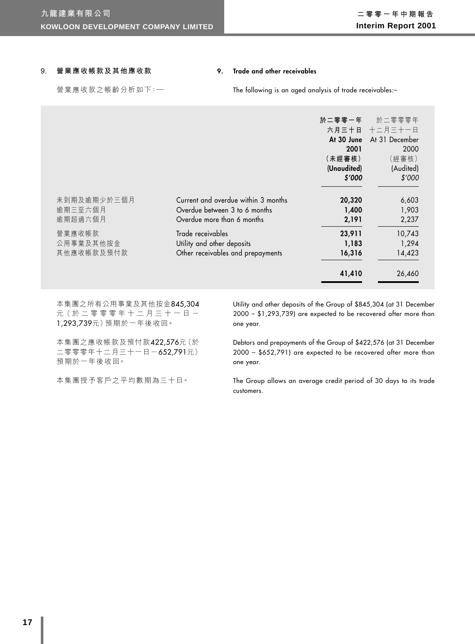#### **9. 營業應收帳款及其他應收款**

#### **9. Trade and other receivables**

營業應收款之帳齡分析如下:—

#### The following is an aged analysis of trade receivables:–

|             |                                     | 於二零零一年<br>2001<br>(未經審核)<br>(Unaudited)<br>\$′000 | 於二零零零年<br>六月三十日 十二月三十一日<br>At 30 June At 31 December<br>2000<br>(經審核)<br>(Audited)<br>\$'000 |
|-------------|-------------------------------------|---------------------------------------------------|----------------------------------------------------------------------------------------------|
| 未到期及逾期少於三個月 | Current and overdue within 3 months | 20,320                                            | 6,603                                                                                        |
| 逾期三至六個月     | Overdue between 3 to 6 months       | 1,400                                             | 1,903                                                                                        |
| 逾期超過六個月     | Overdue more than 6 months          | 2,191                                             | 2,237                                                                                        |
| 營業應收帳款      | Trade receivables                   | 23,911                                            | 10,743                                                                                       |
| 公用事業及其他按金   | Utility and other deposits          | 1,183                                             | 1,294                                                                                        |
| 其他應收帳款及預付款  | Other receivables and prepayments   | 16,316                                            | 14,423                                                                                       |
|             |                                     | 41,410                                            | 26,460                                                                                       |

本集團之所有公用事業及其他按金845,304 元 (於 二 零 零 零 年 十 二 月 三 十 一 日 -1,293,739元)預期於一年後收回。

Utility and other deposits of the Group of \$845,304 (at 31 December 2000 – \$1,293,739) are expected to be recovered after more than one year.

本集團之應收帳款及預付款422,576元(於 二零零零年十二月三十一日-652,791元) 預期於一年後收回。

本集團授予客戶之平均數期為三十日。

Debtors and prepayments of the Group of \$422,576 (at 31 December 2000 – \$652,791) are expected to be recovered after more than one year.

The Group allows an average credit period of 30 days to its trade customers.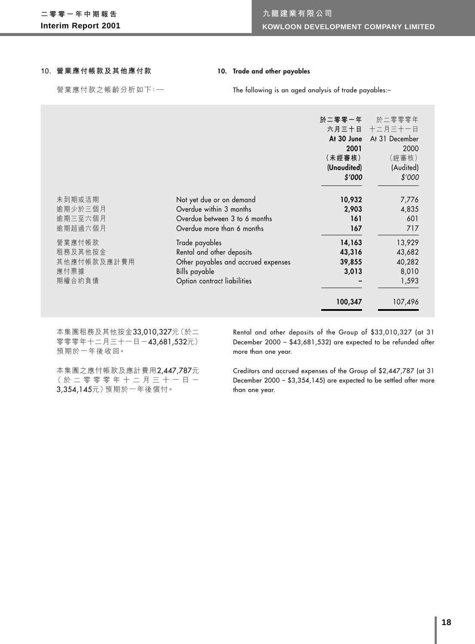#### **10. 營業應付帳款及其他應付款**

## **10. Trade and other payables**

營業應付款之帳齡分析如下:—

The following is an aged analysis of trade payables:–

|                                                    |                                                                                                                                    | 於二零零一年<br>At 30 June<br>2001<br>(未經審核)<br>(Unaudited)<br>\$′000 | 於二零零零年<br>六月三十日 十二月三十一日<br>At 31 December<br>2000<br>(經審核)<br>(Audited)<br>\$'000 |
|----------------------------------------------------|------------------------------------------------------------------------------------------------------------------------------------|-----------------------------------------------------------------|-----------------------------------------------------------------------------------|
| 未到期或活期<br>逾期少於三個月<br>逾期三至六個月<br>逾期超過六個月            | Not yet due or on demand<br>Overdue within 3 months<br>Overdue between 3 to 6 months<br>Overdue more than 6 months                 | 10,932<br>2,903<br>161<br>167                                   | 7,776<br>4,835<br>601<br>717                                                      |
| 營業應付帳款<br>租務及其他按金<br>其他應付帳款及應計費用<br>應付票據<br>期權合約負債 | Trade payables<br>Rental and other deposits<br>Other payables and accrued expenses<br>Bills payable<br>Option contract liabilities | 14,163<br>43,316<br>39,855<br>3,013                             | 13,929<br>43,682<br>40,282<br>8,010<br>1,593                                      |
|                                                    |                                                                                                                                    | 100,347                                                         | 107,496                                                                           |

本集團租務及其他按金33,010,327元(於二 零零零年十二月三十一日-43,681,532元) 預期於一年後收回。

Rental and other deposits of the Group of \$33,010,327 (at 31 December 2000 – \$43,681,532) are expected to be refunded after more than one year.

本集團之應付帳款及應計費用2,447,787元 (於二零零零年十二月三十一日- 3,354,145元)預期於一年後償付。

Creditors and accrued expenses of the Group of \$2,447,787 (at 31 December 2000 – \$3,354,145) are expected to be settled after more than one year.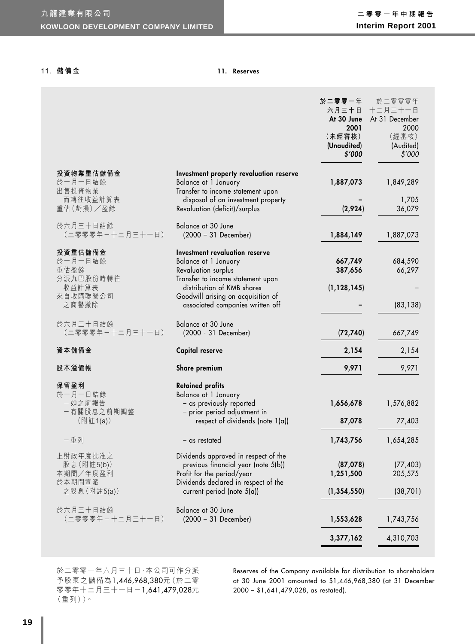#### **11. 儲備金**

#### **11. Reserves**

|                                               |                                                                                                                                                   | 於二零零一年<br>六月三十日<br>At 30 June<br>2001<br>(未經審核)<br>(Unaudited) | 於二零零零年<br>十二月三十一日<br>At 31 December<br>2000<br>(經審核)<br>(Audited) |
|-----------------------------------------------|---------------------------------------------------------------------------------------------------------------------------------------------------|----------------------------------------------------------------|-------------------------------------------------------------------|
|                                               |                                                                                                                                                   | \$′000                                                         | \$'000                                                            |
| 投資物業重估儲備金<br>於一月一日結餘<br>出售投資物業                | Investment property revaluation reserve<br>Balance at 1 January<br>Transfer to income statement upon                                              | 1,887,073                                                      | 1,849,289                                                         |
| 而轉往收益計算表<br>重估(虧損)/盈餘                         | disposal of an investment property<br>Revaluation (deficit)/surplus                                                                               | (2,924)                                                        | 1,705<br>36,079                                                   |
| 於六月三十日結餘<br>(二零零零年一十二月三十一日)                   | Balance at 30 June<br>$(2000 - 31$ December)                                                                                                      | 1,884,149                                                      | 1,887,073                                                         |
| 投資重估儲備金<br>於一月一日結餘<br>重估盈餘                    | Investment revaluation reserve<br>Balance at 1 January<br><b>Revaluation surplus</b>                                                              | 667,749<br>387,656                                             | 684,590<br>66,297                                                 |
| 分派九巴股份時轉往<br>收益計算表<br>來自收購聯營公司<br>之商譽撇除       | Transfer to income statement upon<br>distribution of KMB shares<br>Goodwill arising on acquisition of<br>associated companies written off         | (1, 128, 145)                                                  | (83, 138)                                                         |
| 於六月三十日結餘<br>(二零零零年一十二月三十一日)                   | Balance at 30 June<br>(2000 - 31 December)                                                                                                        | (72, 740)                                                      | 667,749                                                           |
| 資本儲備金                                         | Capital reserve                                                                                                                                   | 2,154                                                          | 2,154                                                             |
| 股本溢價帳                                         | Share premium                                                                                                                                     | 9,971                                                          | 9,971                                                             |
| 保留盈利                                          | <b>Retained profits</b>                                                                                                                           |                                                                |                                                                   |
| 於一月一日結餘<br>一如之前報告<br>一有關股息之前期調整               | Balance at 1 January<br>- as previously reported<br>- prior period adjustment in                                                                  | 1,656,678                                                      | 1,576,882                                                         |
| (附註1(a))                                      | respect of dividends (note 1(a))                                                                                                                  | 87,078                                                         | 77,403                                                            |
| 一重列                                           | - as restated                                                                                                                                     | 1,743,756                                                      | 1,654,285                                                         |
| 上財政年度批准之<br>股息 (附註5(b))<br>本期間/年度盈利<br>於本期間宣派 | Dividends approved in respect of the<br>previous financial year (note 5(b))<br>Profit for the period/year<br>Dividends declared in respect of the | (87,078)<br>1,251,500                                          | (77, 403)<br>205,575                                              |
| 之股息 (附註5(a))                                  | current period (note $5(a)$ )                                                                                                                     | (1, 354, 550)                                                  | (38, 701)                                                         |
| 於六月三十日結餘<br>(二零零零年一十二月三十一日)                   | Balance at 30 June<br>$(2000 - 31$ December)                                                                                                      | 1,553,628                                                      | 1,743,756                                                         |
|                                               |                                                                                                                                                   | 3,377,162                                                      | 4,310,703                                                         |

於二零零一年六月三十日,本公司可作分派 予股東之儲備為1,446,968,380元(於二零 零零年十二月三十一日-1,641,479,028元 (重列))。

Reserves of the Company available for distribution to shareholders at 30 June 2001 amounted to \$1,446,968,380 (at 31 December 2000 – \$1,641,479,028, as restated).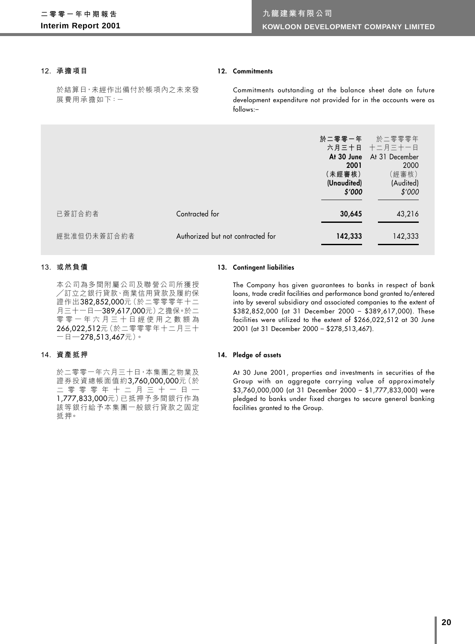#### **12. 承擔項目**

#### **12. Commitments**

於結算日,未經作出備付於帳項內之未來發 展費用承擔如下:-

Commitments outstanding at the balance sheet date on future development expenditure not provided for in the accounts were as follows:–

|             |                                   | 於二零零一年<br>At 30 June<br>2001<br>(未經審核)<br>(Unaudited)<br>\$′000 | 於二零零零年<br>六月三十日 十二月三十一日<br>At 31 December<br>2000<br>(經審核)<br>(Audited)<br>\$'000 |
|-------------|-----------------------------------|-----------------------------------------------------------------|-----------------------------------------------------------------------------------|
| 已簽訂合約者      | Contracted for                    | 30,645                                                          | 43,216                                                                            |
| 經批准但仍未簽訂合約者 | Authorized but not contracted for | 142,333                                                         | 142,333                                                                           |

#### **13. 或然負債**

本公司為多間附屬公司及聯營公司所獲授 /訂立之銀行貸款、商業信用貸款及履約保 證作出382,852,000元(於二零零零年十二 月三十一日—389,617,000元)之擔保。於二 零零一年六月三十日經使用之數額為 266,022,512元(於二零零零年十二月三十 一日—278,513,467元)。

#### **14. 資產抵押**

於二零零一年六月三十日,本集團之物業及 證券投資總帳面值約3,760,000,000元(於 二零零零年十二月三十一日— 1,777,833,000元)已抵押予多間銀行作為 該等銀行給予本集團一般銀行貸款之固定 抵押。

#### **13. Contingent liabilities**

The Company has given guarantees to banks in respect of bank loans, trade credit facilities and performance bond granted to/entered into by several subsidiary and associated companies to the extent of \$382,852,000 (at 31 December 2000 – \$389,617,000). These facilities were utilized to the extent of \$266,022,512 at 30 June 2001 (at 31 December 2000 – \$278,513,467).

#### **14. Pledge of assets**

At 30 June 2001, properties and investments in securities of the Group with an aggregate carrying value of approximately \$3,760,000,000 (at 31 December 2000 – \$1,777,833,000) were pledged to banks under fixed charges to secure general banking facilities granted to the Group.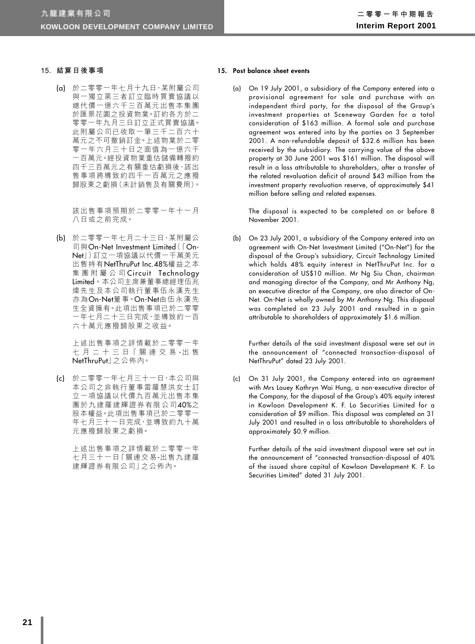#### **15. 結算日後事項**

(a) 於二零零一年七月十九日,某附屬公司 與一獨立第三者訂立臨時買賣協議以 總代價一億六千三百萬元出售本集團 於匯景花園之投資物業。訂約各方於二 零零一年九月三日訂立正式買賣協議。 此附屬公司已收取一筆三千二百六十 萬元之不可撤銷訂金。上述物業於二零 零一年六月三十日之面值為一億六千 一百萬元。經投資物業重估儲備轉撥約 四千三百萬元之有關重估虧損後,該出 售事項將導致約四千一百萬元之應撥 歸股東之虧損(未計銷售及有關費用)。

> 該出售事項預期於二零零一年十一月 八日或之前完成。

(b) 於二零零一年七月二十三日,某附屬公 司與On-Net Investment Limited(「On-Net」)訂立一項協議以代價一千萬美元 出售持有NetThruPut Inc.48%權益之本 集團附屬公司 Circuit Technology Limited。本公司主席兼董事總經理伍兆 燦先生及本公司執行董事伍永漢先生 亦為On-Net董事。On-Net由伍永漢先 生全資擁有。此項出售事項已於二零零 一年七月二十三日完成,並導致約一百 六十萬元應撥歸股東之收益。

> 上述出售事項之詳情載於二零零一年 七 月 二 十 三 日「 關 連 交 易 -出 售 NetThruPut」之公佈內。

(c) 於二零零一年七月三十一日,本公司與 本公司之非執行董事雷羅慧洪女士訂 立一項協議以代價九百萬元出售本集 團於九建羅建輝證券有限公司40%之 股本權益。此項出售事項已於二零零-年七月三十一日完成,並導致約九十萬 元應撥歸股東之虧損。

> 上述出售事項之詳情載於二零零一年 七月三十一日「關連交易-出售九建羅 建輝證券有限公司」之公佈內。

#### **15. Post balance sheet events**

(a) On 19 July 2001, a subsidiary of the Company entered into a provisional agreement for sale and purchase with an independent third party, for the disposal of the Group's investment properties at Sceneway Garden for a total consideration of \$163 million. A formal sale and purchase agreement was entered into by the parties on 3 September 2001. A non-refundable deposit of \$32.6 million has been received by the subsidiary. The carrying value of the above property at 30 June 2001 was \$161 million. The disposal will result in a loss attributable to shareholders, after a transfer of the related revaluation deficit of around \$43 million from the investment property revaluation reserve, of approximately \$41 million before selling and related expenses.

The disposal is expected to be completed on or before 8 November 2001.

(b) On 23 July 2001, a subsidiary of the Company entered into an agreement with On-Net Investment Limited ("On-Net") for the disposal of the Group's subsidiary, Circuit Technology Limited which holds 48% equity interest in NetThruPut Inc. for a consideration of US\$10 million. Mr Ng Siu Chan, chairman and managing director of the Company, and Mr Anthony Ng, an executive director of the Company, are also director of On-Net. On-Net is wholly owned by Mr Anthony Ng. This disposal was completed on 23 July 2001 and resulted in a gain attributable to shareholders of approximately \$1.6 million.

Further details of the said investment disposal were set out in the announcement of "connected transaction-disposal of NetThruPut" dated 23 July 2001.

(c) On 31 July 2001, the Company entered into an agreement with Mrs Louey Kathryn Wai Hung, a non-executive director of the Company, for the disposal of the Group's 40% equity interest in Kowloon Development K. F. Lo Securities Limited for a consideration of \$9 million. This disposal was completed on 31 July 2001 and resulted in a loss attributable to shareholders of approximately \$0.9 million.

Further details of the said investment disposal were set out in the announcement of "connected transaction-disposal of 40% of the issued share capital of Kowloon Development K. F. Lo Securities Limited" dated 31 July 2001.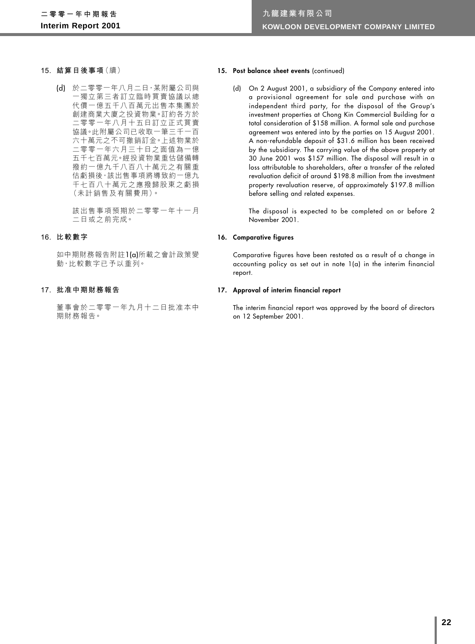- **15. 結算日後事項**(續)
	- (d) 於二零零一年八月二日,某附屬公司與 一獨立第三者訂立臨時買賣協議以總 代價一億五千八百萬元出售本集團於 創建商業大廈之投資物業。訂約各方於 二零零一年八月十五日訂立正式買賣 協議。此附屬公司已收取一筆三千一百 六十萬元之不可撤銷訂金。上述物業於 二零零一年六月三十日之面值為一億 五千七百萬元。經投資物業重估儲備轉 撥約一億九千八百八十萬元之有關重 估虧損後,該出售事項將導致約一億九 千七百八十萬元之應撥歸股東之虧損 (未計銷售及有關費用)。

該出售事項預期於二零零一年十一月 二日或之前完成。

#### **16. 比較數字**

如中期財務報告附註1(a)所載之會計政策變 動,比較數字已予以重列。

#### **17. 批准中期財務報告**

董事會於二零零一年九月十二日批准本中 期財務報告。

#### 15. Post balance sheet events (continued)

(d) On 2 August 2001, a subsidiary of the Company entered into a provisional agreement for sale and purchase with an independent third party, for the disposal of the Group's investment properties at Chong Kin Commercial Building for a total consideration of \$158 million. A formal sale and purchase agreement was entered into by the parties on 15 August 2001. A non-refundable deposit of \$31.6 million has been received by the subsidiary. The carrying value of the above property at 30 June 2001 was \$157 million. The disposal will result in a loss attributable to shareholders, after a transfer of the related revaluation deficit of around \$198.8 million from the investment property revaluation reserve, of approximately \$197.8 million before selling and related expenses.

The disposal is expected to be completed on or before 2 November 2001.

#### **16. Comparative figures**

Comparative figures have been restated as a result of a change in accounting policy as set out in note 1(a) in the interim financial report.

#### **17. Approval of interim financial report**

The interim financial report was approved by the board of directors on 12 September 2001.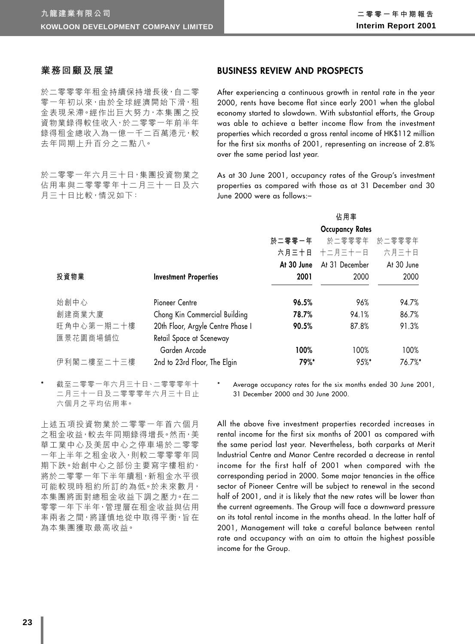## **業務回顧及展望**

於二零零零年租金持續保持增長後,自二零 零一年初以來,由於全球經濟開始下滑,租 金表現呆滯。經作出巨大努力,本集團之投 資物業錄得較佳收入,於二零零一年前半年 錄得租金總收入為一億一千二百萬港元,較 去年同期上升百分之二點八。

於二零零一年六月三十日,集團投資物業之 佔用率與二零零零年十二月三十一日及六 月三十日比較,情況如下:

## **BUSINESS REVIEW AND PROSPECTS**

After experiencing a continuous growth in rental rate in the year 2000, rents have become flat since early 2001 when the global economy started to slowdown. With substantial efforts, the Group was able to achieve a better income flow from the investment properties which recorded a gross rental income of HK\$112 million for the first six months of 2001, representing an increase of 2.8% over the same period last year.

As at 30 June 2001, occupancy rates of the Group's investment properties as compared with those as at 31 December and 30 June 2000 were as follows:–

|            |                                   |            | 佔用率                    |            |
|------------|-----------------------------------|------------|------------------------|------------|
|            |                                   |            | <b>Occupancy Rates</b> |            |
|            |                                   | 於二零零一年     | 於二零零零年                 | 於二零零零年     |
|            |                                   | 六月三十日      | 十二月三十一日                | 六月三十日      |
|            |                                   | At 30 June | At 31 December         | At 30 June |
| 投資物業       | <b>Investment Properties</b>      | 2001       | 2000                   | 2000       |
|            |                                   |            |                        |            |
| 始創中心       | Pioneer Centre                    | 96.5%      | 96%                    | 94.7%      |
| 創建商業大廈     | Chong Kin Commercial Building     | 78.7%      | 94.1%                  | 86.7%      |
| 旺角中心第一期二十樓 | 20th Floor, Argyle Centre Phase I | 90.5%      | 87.8%                  | 91.3%      |
| 匯景花園商場舖位   | Retail Space at Sceneway          |            |                        |            |
|            | Garden Arcade                     | 100%       | 100%                   | 100%       |
| 伊利閣二樓至二十三樓 | 2nd to 23rd Floor, The Elgin      | 79%*       | $95%$ *                | 76.7%*     |

截至二零零一年六月三十日、二零零零年十 二月三十一日及二零零零年六月三十日止 六個月之平均佔用率。

Average occupancy rates for the six months ended 30 June 2001, 31 December 2000 and 30 June 2000.

上述五項投資物業於二零零一年首六個月 之租金收益,較去年同期錄得增長。然而,美 華工業中心及美居中心之停車場於二零零 一年上半年之租金收入,則較二零零零年同 期下跌。始創中心之部份主要寫字樓租約, 將於二零零一年下半年續租,新租金水平很 可能較現時租約所訂的為低。於未來數月, 本集團將面對總租金收益下調之壓力。在二 零零一年下半年,管理層在租金收益與佔用 率兩者之間,將謹慎地從中取得平衡,旨在 為本集團獲取最高收益。

All the above five investment properties recorded increases in rental income for the first six months of 2001 as compared with the same period last year. Nevertheless, both carparks at Merit Industrial Centre and Manor Centre recorded a decrease in rental income for the first half of 2001 when compared with the corresponding period in 2000. Some major tenancies in the office sector of Pioneer Centre will be subject to renewal in the second half of 2001, and it is likely that the new rates will be lower than the current agreements. The Group will face a downward pressure on its total rental income in the months ahead. In the latter half of 2001, Management will take a careful balance between rental rate and occupancy with an aim to attain the highest possible income for the Group.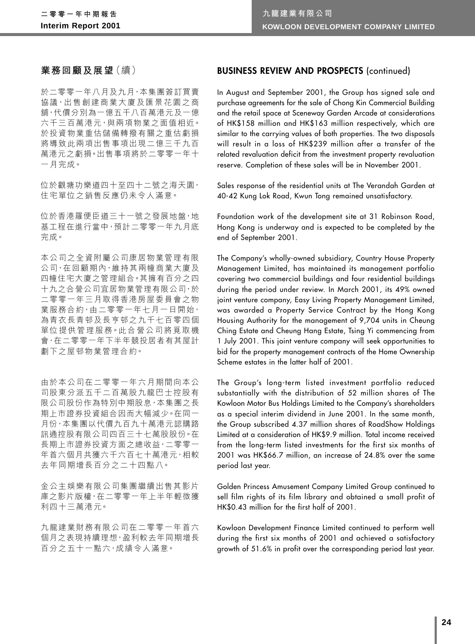## **業務回顧及展望**(續)

於二零零一年八月及九月,本集團簽訂買賣 協議,出售創建商業大廈及匯景花園之商 舖,代價分別為一億五千八百萬港元及一億 六千三百萬港元,與兩項物業之面值相近。 於投資物業重估儲備轉撥有關之重估虧損 將導致此兩項出售事項出現二億三千九百 萬港元之虧損。出售事項將於二零零一年十 一月完成。

位於觀塘功樂道四十至四十二號之海天園, 住宅單位之銷售反應仍未令人滿意。

位於香港羅便臣道三十一號之發展地盤,地 基工程在進行當中,預計二零零一年九月底 完成。

本公司之全資附屬公司康居物業管理有限 公司,在回顧期內,維持其兩幢商業大廈及 四幢住宅大廈之管理組合。其擁有百分之四 十九之合營公司宜居物業管理有限公司,於 二零零一年三月取得香港房屋委員會之物 業服務合約,由二零零一年七月一日開始, 為青衣長青邨及長亨邨之九千七百零四個 軍位提供管理服務。此合營公司將覓取機 會,在二零零一年下半年競投居者有其屋計 劃下之屋擥物業管理合約。

由於本公司在二零零一年六月期間向本公 司股東分派五千二百萬股九龍巴士控股有 限公司股份作為特別中期股息,本集團之長 期上市證券投資組合因而大幅減少。在同一 月份,本集團以代價九百九十萬港元認購路 訊通控股有限公司四百三十七萬股股份。在 長期上市證券投資方面之總收益,二零零一 年首六個月共獲六千六百七十萬港元,相較 去年同期增長百分之二十四點八。

金公主娛樂有限公司集團繼續出售其影片 庫之影片版權,在二零零一年上半年輕微獲 利四十三萬港元。

九龍建業財務有限公司在二零零一年首六 個月之表現持續理想,盈利較去年同期增長 百分之五十一點六,成績令人滿意。

## **BUSINESS REVIEW AND PROSPECTS** (continued)

In August and September 2001, the Group has signed sale and purchase agreements for the sale of Chong Kin Commercial Building and the retail space at Sceneway Garden Arcade at considerations of HK\$158 million and HK\$163 million respectively, which are similar to the carrying values of both properties. The two disposals will result in a loss of HK\$239 million after a transfer of the related revaluation deficit from the investment property revaluation reserve. Completion of these sales will be in November 2001.

Sales response of the residential units at The Verandah Garden at 40-42 Kung Lok Road, Kwun Tong remained unsatisfactory.

Foundation work of the development site at 31 Robinson Road, Hong Kong is underway and is expected to be completed by the end of September 2001.

The Company's wholly-owned subsidiary, Country House Property Management Limited, has maintained its management portfolio covering two commercial buildings and four residential buildings during the period under review. In March 2001, its 49% owned joint venture company, Easy Living Property Management Limited, was awarded a Property Service Contract by the Hong Kong Housing Authority for the management of 9,704 units in Cheung Ching Estate and Cheung Hang Estate, Tsing Yi commencing from 1 July 2001. This joint venture company will seek opportunities to bid for the property management contracts of the Home Ownership Scheme estates in the latter half of 2001.

The Group's long-term listed investment portfolio reduced substantially with the distribution of 52 million shares of The Kowloon Motor Bus Holdings Limited to the Company's shareholders as a special interim dividend in June 2001. In the same month, the Group subscribed 4.37 million shares of RoadShow Holdings Limited at a consideration of HK\$9.9 million. Total income received from the long-term listed investments for the first six months of 2001 was HK\$66.7 million, an increase of 24.8% over the same period last year.

Golden Princess Amusement Company Limited Group continued to sell film rights of its film library and obtained a small profit of HK\$0.43 million for the first half of 2001.

Kowloon Development Finance Limited continued to perform well during the first six months of 2001 and achieved a satisfactory growth of 51.6% in profit over the corresponding period last year.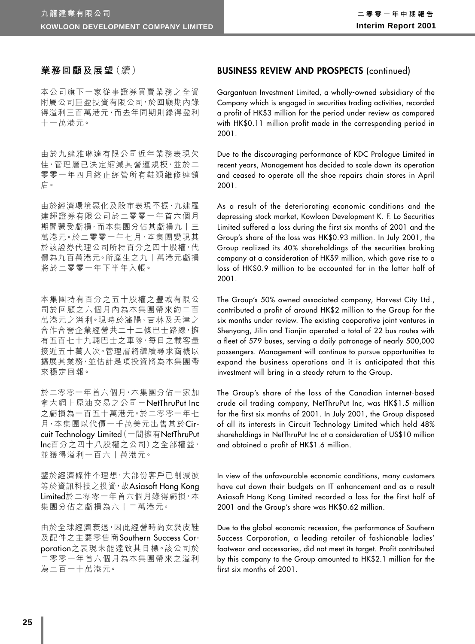## **業務回顧及展望**(續)

本公司旗下一家從事證券買賣業務之全資 附屬公司巨盈投資有限公司,於回顧期內錄 得溢利三百萬港元,而去年同期則錄得盈利 十一萬港元。

由於九建雅琳達有限公司近年業務表現欠 佳,管理層已決定縮減其營運規模,並於二 零零一年四月終止經營所有鞋類維修連鎖 店。

由於經濟環境惡化及股市表現不振,九建羅 建輝證券有限公司於二零零一年首六個月 期間蒙受虧損,而本集團分佔其虧損九十三 萬港元。於二零零一年七月,本集團變現其 於該證券代理公司所持百分之四十股權,代 價為九百萬港元。所產生之九十萬港元虧損 將於二零零一年下半年入帳。

本集團持有百分之五十股權之豐城有限公 司於回顧之六個月內為本集團帶來約二百 萬港元之溢利。現時於瀋陽、吉林及天津之 合作合營企業經營共二十二條巴士路線,擁 有五百七十九輛巴士之車隊,每日之載客量 接近五十萬人次。管理層將繼續尋求商機以 擴展其業務,並估計是項投資將為本集團帶 來穩定回報。

於二零零一年首六個月,本集團分佔一家加 拿大網上原油交易之公司-NetThruPut Inc 之虧損為一百五十萬港元。於二零零一年七 月,本集團以代價一千萬美元出售其於Circuit Technology Limited(一間擁有NetThruPut Inc百分之四十八股權之公司)之全部權益, 並獲得溢利一百六十萬港元。

鑒於經濟條件不理想,大部份客戶已削減彼 等於資訊科技之投資,故Asiasoft Hong Kong Limited於二零零一年首六個月錄得虧損,本 集團分佔之虧損為六十二萬港元。

由於全球經濟衰退,因此經營時尚女裝皮鞋 及配件之主要零售商Southern Success Corporation之表現未能達致其目標。該公司於 二零零一年首六個月為本集團帶來之溢利 為二百一十萬港元。

## **BUSINESS REVIEW AND PROSPECTS** (continued)

Gargantuan Investment Limited, a wholly-owned subsidiary of the Company which is engaged in securities trading activities, recorded a profit of HK\$3 million for the period under review as compared with HK\$0.11 million profit made in the corresponding period in 2001.

Due to the discouraging performance of KDC Prologue Limited in recent years, Management has decided to scale down its operation and ceased to operate all the shoe repairs chain stores in April 2001.

As a result of the deteriorating economic conditions and the depressing stock market, Kowloon Development K. F. Lo Securities Limited suffered a loss during the first six months of 2001 and the Group's share of the loss was HK\$0.93 million. In July 2001, the Group realized its 40% shareholdings of the securities broking company at a consideration of HK\$9 million, which gave rise to a loss of HK\$0.9 million to be accounted for in the latter half of 2001.

The Group's 50% owned associated company, Harvest City Ltd., contributed a profit of around HK\$2 million to the Group for the six months under review. The existing cooperative joint ventures in Shenyang, Jilin and Tianjin operated a total of 22 bus routes with a fleet of 579 buses, serving a daily patronage of nearly 500,000 passengers. Management will continue to pursue opportunities to expand the business operations and it is anticipated that this investment will bring in a steady return to the Group.

The Group's share of the loss of the Canadian internet-based crude oil trading company, NetThruPut Inc, was HK\$1.5 million for the first six months of 2001. In July 2001, the Group disposed of all its interests in Circuit Technology Limited which held 48% shareholdings in NetThruPut Inc at a consideration of US\$10 million and obtained a profit of HK\$1.6 million.

In view of the unfavourable economic conditions, many customers have cut down their budgets on IT enhancement and as a result Asiasoft Hong Kong Limited recorded a loss for the first half of 2001 and the Group's share was HK\$0.62 million.

Due to the global economic recession, the performance of Southern Success Corporation, a leading retailer of fashionable ladies' footwear and accessories, did not meet its target. Profit contributed by this company to the Group amounted to HK\$2.1 million for the first six months of 2001.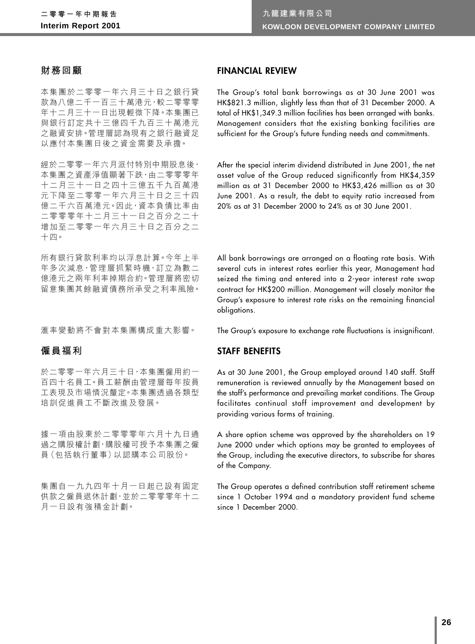## **財務回顧**

本集團於二零零一年六月三十日之銀行貸 款為八億二千一百三十萬港元,較二零零零 年十二月三十一日出現輕微下降。本集團已 與銀行訂定共十三億四千九百三十萬港元 之融資安排。管理層認為現有之銀行融資足 以應付本集團日後之資金需要及承擔。

經於二零零一年六月派付特別中期股息後, 本集團之資產淨值顯著下跌,由二零零零年 十二月三十一日之四十三億五千九百萬港 元下降至二零零一年六月三十日之三十四 億二千六百萬港元。因此,資本負債比率由 二零零零年十二月三十一日之百分之二十 增加至二零零一年六月三十日之百分之二 十四。

所有銀行貸款利率均以浮息計算。今年上半 年多次減息,管理層抓緊時機,訂立為數二 億港元之兩年利率掉期合約。管理層將密切 留意集團其餘融資債務所承受之利率風險。

㶅率變動將不會對本集團構成重大影響。

## **僱員福利**

於二零零一年六月三十日,本集團僱用約一 百四十名員工。員工薪酬由管理層每年按員 工表現及市場情況釐定。本集團透過各類型 培訓促進員工不斷改進及發展。

據一項由股東於二零零零年六月十九日通 過之購股權計劃,購股權可授予本集團之僱 員(包括執行董事)以認購本公司股份。

集團自一九九四年十月一日起已設有固定 供款之僱員退休計劃,並於二零零零年十二 月一日設有強積金計劃。

## **FINANCIAL REVIEW**

The Group's total bank borrowings as at 30 June 2001 was HK\$821.3 million, slightly less than that of 31 December 2000. A total of HK\$1,349.3 million facilities has been arranged with banks. Management considers that the existing banking facilities are sufficient for the Group's future funding needs and commitments.

After the special interim dividend distributed in June 2001, the net asset value of the Group reduced significantly from HK\$4,359 million as at 31 December 2000 to HK\$3,426 million as at 30 June 2001. As a result, the debt to equity ratio increased from 20% as at 31 December 2000 to 24% as at 30 June 2001.

All bank borrowings are arranged on a floating rate basis. With several cuts in interest rates earlier this year, Management had seized the timing and entered into a 2-year interest rate swap contract for HK\$200 million. Management will closely monitor the Group's exposure to interest rate risks on the remaining financial obligations.

The Group's exposure to exchange rate fluctuations is insignificant.

## **STAFF BENEFITS**

As at 30 June 2001, the Group employed around 140 staff. Staff remuneration is reviewed annually by the Management based on the staff's performance and prevailing market conditions. The Group facilitates continual staff improvement and development by providing various forms of training.

A share option scheme was approved by the shareholders on 19 June 2000 under which options may be granted to employees of the Group, including the executive directors, to subscribe for shares of the Company.

The Group operates a defined contribution staff retirement scheme since 1 October 1994 and a mandatory provident fund scheme since 1 December 2000.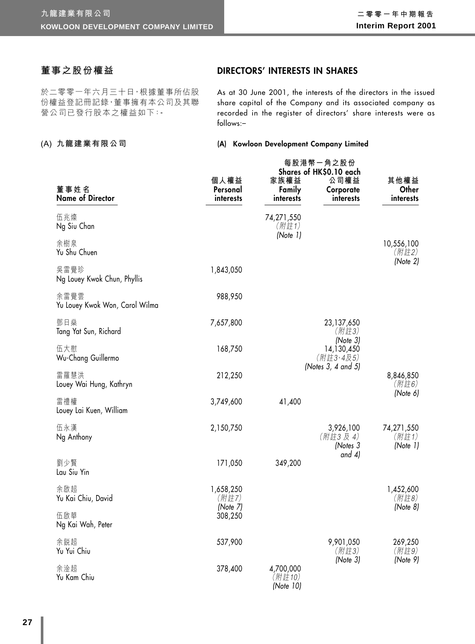## **董事之股份權益**

於二零零一年六月三十日,根據董事所佔股 份權益登記冊記錄,董事擁有本公司及其聯 營公司已發行股本之權益如下:-

### **(A) 九龍建業有限公司**

## **DIRECTORS' INTERESTS IN SHARES**

As at 30 June 2001, the interests of the directors in the issued share capital of the Company and its associated company as recorded in the register of directors' share interests were as follows:–

#### **(A) Kowloon Development Company Limited**

| 董事姓名                                   | 個人權益<br>Personal    | 家族權益<br>Family                   | 每股港幣一角之股份<br>Shares of HK\$0.10 each<br>公司權益<br>Corporate | 其他權益<br>Other                   |
|----------------------------------------|---------------------|----------------------------------|-----------------------------------------------------------|---------------------------------|
| <b>Name of Director</b>                | interests           | interests                        | interests                                                 | interests                       |
| 伍兆燦<br>Ng Siu Chan                     |                     | 74,271,550<br>(附註1)<br>(Note 1)  |                                                           |                                 |
| 余樹泉<br>Yu Shu Chuen                    |                     |                                  |                                                           | 10,556,100<br>(附註2)             |
| 吳雷覺珍<br>Ng Louey Kwok Chun, Phyllis    | 1,843,050           |                                  |                                                           | (Note 2)                        |
| 余雷覺雲<br>Yu Louey Kwok Won, Carol Wilma | 988,950             |                                  |                                                           |                                 |
| 鄧日燊<br>Tang Yat Sun, Richard           | 7,657,800           |                                  | 23,137,650<br>(附註3)                                       |                                 |
| 伍大慰<br>Wu-Chang Guillermo              | 168,750             |                                  | (Note 3)<br>14,130,450<br>(附註3、4及5)                       |                                 |
| 雷羅慧洪<br>Louey Wai Hung, Kathryn        | 212,250             |                                  | (Notes $3, 4$ and $5$ )                                   | 8,846,850<br>(附註6)              |
| 雷禮權<br>Louey Lai Kuen, William         | 3,749,600           | 41,400                           |                                                           | (Note 6)                        |
| 伍永漢<br>Ng Anthony                      | 2,150,750           |                                  | 3,926,100<br>(附註3及4)<br>(Notes 3                          | 74,271,550<br>(附註1)<br>(Note 1) |
| 劉少賢<br>Lau Siu Yin                     | 171,050             | 349,200                          | and $4$ )                                                 |                                 |
| 余啟超<br>Yu Kai Chiu, David              | 1,658,250<br>(附註7)  |                                  |                                                           | 1,452,600<br>(附註8)              |
| 伍啟華<br>Ng Kai Wah, Peter               | (Note 7)<br>308,250 |                                  |                                                           | (Note 8)                        |
| 余鋭超<br>Yu Yui Chiu                     | 537,900             |                                  | 9,901,050<br>(附註3)                                        | 269,250<br>(附註9)                |
| 余淦超<br>Yu Kam Chiu                     | 378,400             | 4,700,000<br>(附註10)<br>(Note 10) | (Note 3)                                                  | (Note 9)                        |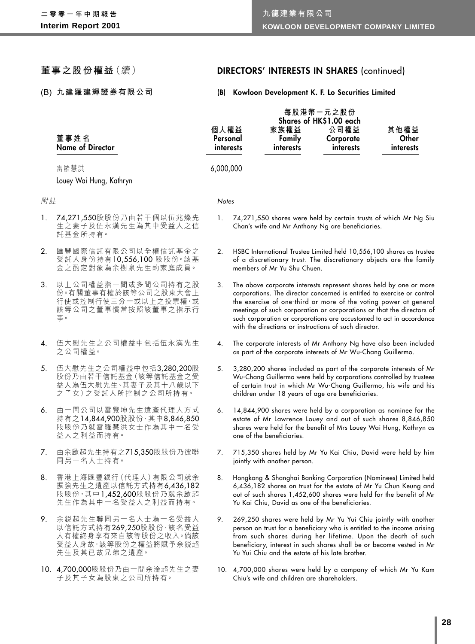**董事之股份權益**(續)

**(B) 九建羅建輝證券有限公司**

## **DIRECTORS' INTERESTS IN SHARES** (continued)

## **(B) Kowloon Development K. F. Lo Securities Limited**

|    | 董事姓名<br><b>Name of Director</b>                                                                            | 個人權益<br>Personal<br>interests |                                                                                                                                                                                                                                                                                                                                                                                                                             | 家族權益<br>Family<br>interests                     | 每股港幣一元之股份<br>Shares of HK\$1.00 each<br>公司權益<br>Corporate<br>interests | 其他權益<br>Other<br>interests                                                                                                                                                                                                                                                         |
|----|------------------------------------------------------------------------------------------------------------|-------------------------------|-----------------------------------------------------------------------------------------------------------------------------------------------------------------------------------------------------------------------------------------------------------------------------------------------------------------------------------------------------------------------------------------------------------------------------|-------------------------------------------------|------------------------------------------------------------------------|------------------------------------------------------------------------------------------------------------------------------------------------------------------------------------------------------------------------------------------------------------------------------------|
|    | 雷羅慧洪                                                                                                       | 6,000,000                     |                                                                                                                                                                                                                                                                                                                                                                                                                             |                                                 |                                                                        |                                                                                                                                                                                                                                                                                    |
|    | Louey Wai Hung, Kathryn                                                                                    |                               |                                                                                                                                                                                                                                                                                                                                                                                                                             |                                                 |                                                                        |                                                                                                                                                                                                                                                                                    |
| 附註 |                                                                                                            | Notes                         |                                                                                                                                                                                                                                                                                                                                                                                                                             |                                                 |                                                                        |                                                                                                                                                                                                                                                                                    |
| 1. | 74,271,550股股份乃由若干個以伍兆燦先<br>生之妻子及伍永漢先生為其中受益人之信<br>託基金所持有。                                                   | 1.                            |                                                                                                                                                                                                                                                                                                                                                                                                                             |                                                 | Chan's wife and Mr Anthony Ng are beneficiaries.                       | 74,271,550 shares were held by certain trusts of which Mr Ng Siu                                                                                                                                                                                                                   |
| 2. | 匯豐國際信託有限公司以全權信託基金之<br>受託人身份持有10,556,100 股股份。該基<br>金之酌定對象為余樹泉先生的家庭成員。                                       | 2.                            |                                                                                                                                                                                                                                                                                                                                                                                                                             | members of Mr Yu Shu Chuen.                     |                                                                        | HSBC International Trustee Limited held 10,556,100 shares as trustee<br>of a discretionary trust. The discretionary objects are the family                                                                                                                                         |
| 3. | 以上公司權益指一間或多間公司持有之股<br>份。有關董事有權於該等公司之股東大會上<br>行使或控制行使三分一或以上之投票權,或<br>該等公司之董事慣常按照該董事之指示行<br>事。               | 3.                            | The above corporate interests represent shares held by one or more<br>corporations. The director concerned is entitled to exercise or control<br>the exercise of one-third or more of the voting power at general<br>meetings of such corporation or corporations or that the directors of<br>such corporation or corporations are accustomed to act in accordance<br>with the directions or instructions of such director. |                                                 |                                                                        |                                                                                                                                                                                                                                                                                    |
| 4. | 伍大慰先生之公司權益中包括伍永漢先生<br>之公司權益。                                                                               | 4.                            |                                                                                                                                                                                                                                                                                                                                                                                                                             |                                                 | as part of the corporate interests of Mr Wu-Chang Guillermo.           | The corporate interests of Mr Anthony Ng have also been included                                                                                                                                                                                                                   |
| 5. | 伍大慰先生之公司權益中包括3,280,200股<br>股份乃由若干信託基金(該等信託基金之受<br>益人為伍大慰先生、其妻子及其十八歲以下<br>之子女)之受託人所控制之公司所持有。                | 5.                            |                                                                                                                                                                                                                                                                                                                                                                                                                             |                                                 | children under 18 years of age are beneficiaries.                      | 3,280,200 shares included as part of the corporate interests of Mr<br>Wu-Chang Guillermo were held by corporations controlled by trustees<br>of certain trust in which Mr Wu-Chang Guillermo, his wife and his                                                                     |
| 6. | 由一間公司以雷覺坤先生遺產代理人方式<br>持有之14,844,900股股份,其中8,846,850<br>股股份乃就雷羅慧洪女士作為其中一名受<br>益人之利益而持有。                      | 6.                            |                                                                                                                                                                                                                                                                                                                                                                                                                             | one of the beneficiaries.                       |                                                                        | 14,844,900 shares were held by a corporation as nominee for the<br>estate of Mr Lawrence Louey and out of such shares 8,846,850<br>shares were held for the benefit of Mrs Louey Wai Hung, Kathryn as                                                                              |
| 7. | 由余啟超先生持有之715,350股股份乃彼聯<br>同另一名人士持有。                                                                        | 7.                            |                                                                                                                                                                                                                                                                                                                                                                                                                             | jointly with another person.                    |                                                                        | 715,350 shares held by Mr Yu Kai Chiu, David were held by him                                                                                                                                                                                                                      |
| 8. | 香港上海匯豐銀行 (代理人) 有限公司就余<br>振強先生之遺產以信託方式持有6,436,182<br>股股份, 其中1,452,600股股份乃就余啟超<br>先生作為其中一名受益人之利益而持有。         | 8.                            |                                                                                                                                                                                                                                                                                                                                                                                                                             |                                                 | Yu Kai Chiu, David as one of the beneficiaries.                        | Hongkong & Shanghai Banking Corporation (Nominees) Limited held<br>6,436,182 shares on trust for the estate of Mr Yu Chun Keung and<br>out of such shares 1,452,600 shares were held for the benefit of Mr                                                                         |
| 9. | 余鋭超先生聯同另一名人士為一名受益人<br>以信託方式持有269,250股股份,該名受益<br>人有權終身享有來自該等股份之收入。倘該<br>受益人身故,該等股份之權益將賦予余鋭超<br>先生及其已故兄弟之遺產。 | 9.                            |                                                                                                                                                                                                                                                                                                                                                                                                                             | Yu Yui Chiu and the estate of his late brother. |                                                                        | 269,250 shares were held by Mr Yu Yui Chiu jointly with another<br>person on trust for a beneficiary who is entitled to the income arising<br>from such shares during her lifetime. Upon the death of such<br>beneficiary, interest in such shares shall be or become vested in Mr |
|    |                                                                                                            |                               |                                                                                                                                                                                                                                                                                                                                                                                                                             |                                                 |                                                                        |                                                                                                                                                                                                                                                                                    |

- 10. 4,700,000股股份乃由一間余淦超先生之妻 子及其子女為股東之公司所持有。
- 10. 4,700,000 shares were held by a company of which Mr Yu Kam Chiu's wife and children are shareholders.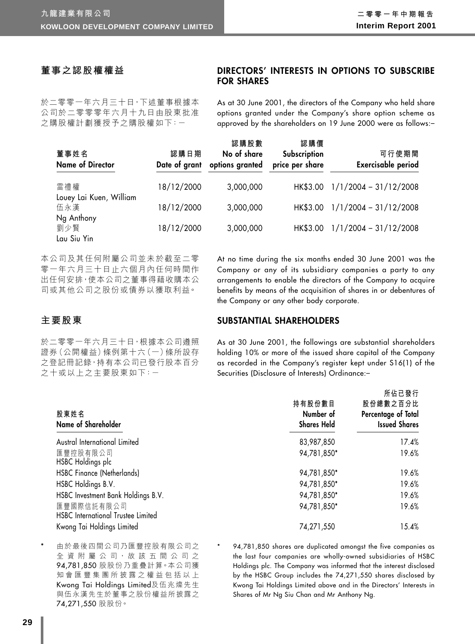**所佔已發行**

## **董事之認股權權益**

## **DIRECTORS' INTERESTS IN OPTIONS TO SUBSCRIBE FOR SHARES**

於二零零一年六月三十日,下述董事根據本 公司於二零零零年六月十九日由股東批准 之購股權計劃獲授予之購股權如下:-

As at 30 June 2001, the directors of the Company who held share options granted under the Company's share option scheme as approved by the shareholders on 19 June 2000 were as follows:–

| 董事姓名<br><b>Name of Director</b> | 認購日期<br>Date of grant | 認購股數<br>No of share<br>options granted | 認購價<br>Subscription<br>price per share | 可行使期間<br><b>Exercisable period</b> |
|---------------------------------|-----------------------|----------------------------------------|----------------------------------------|------------------------------------|
| 雷禮權                             | 18/12/2000            | 3,000,000                              | HK\$3.00                               | $1/1/2004 - 31/12/2008$            |
| Louey Lai Kuen, William<br>伍永漢  | 18/12/2000            | 3,000,000                              | HK\$3.00                               | $1/1/2004 - 31/12/2008$            |
| Ng Anthony                      |                       |                                        |                                        |                                    |
| 劉少賢                             | 18/12/2000            | 3,000,000                              | HK\$3.00                               | $1/1/2004 - 31/12/2008$            |
| Lau Siu Yin                     |                       |                                        |                                        |                                    |

本公司及其任何附屬公司並未於截至二零 零一年六月三十日止六個月內任何時間作 出任何安排,使本公司之董事得藉收購本公 司或其他公司之股份或債券以獲取利益。

## **主要股東**

於二零零一年六月三十日,根據本公司遵照 證券(公開權益)條例第十六(一)條所設存 之登記冊記錄,持有本公司已發行股本百分 之十或以上之主要股東如下:-

At no time during the six months ended 30 June 2001 was the Company or any of its subsidiary companies a party to any arrangements to enable the directors of the Company to acquire benefits by means of the acquisition of shares in or debentures of the Company or any other body corporate.

### **SUBSTANTIAL SHAREHOLDERS**

As at 30 June 2001, the followings are substantial shareholders holding 10% or more of the issued share capital of the Company as recorded in the Company's register kept under S16(1) of the Securities (Disclosure of Interests) Ordinance:–

| 股東姓名<br>Name of Shareholder                             | 持有股份數目<br>Number of<br><b>Shares Held</b> | $\frac{1}{11}$ in $\frac{1}{11}$<br>股份總數之百分比<br>Percentage of Total<br><b>Issued Shares</b> |
|---------------------------------------------------------|-------------------------------------------|---------------------------------------------------------------------------------------------|
| Austral International Limited                           | 83,987,850                                | 17.4%                                                                                       |
| 匯豐控股有限公司<br>HSBC Holdings plc                           | 94,781,850*                               | 19.6%                                                                                       |
| <b>HSBC Finance (Netherlands)</b>                       | 94,781,850*                               | 19.6%                                                                                       |
| HSBC Holdings B.V.                                      | 94,781,850*                               | 19.6%                                                                                       |
| HSBC Investment Bank Holdings B.V.                      | 94,781,850*                               | 19.6%                                                                                       |
| 匯豐國際信託有限公司<br><b>HSBC</b> International Trustee Limited | 94,781,850*                               | 19.6%                                                                                       |
| Kwong Tai Holdings Limited                              | 74,271,550                                | 15.4%                                                                                       |

由於最後四間公司乃匯豐控股有限公司之 全資 附 屬 公 司, 故 該 五 間 公 司 之 94,781,850 股股份乃重疊計算。本公司獲 知會匯豐集團所披露之權益包括以上 Kwong Tai Holdings Limited及伍兆燦先生 與伍永漢先生於董事之股份權益所披露之 74,271,550 股股份。

94,781,850 shares are duplicated amongst the five companies as the last four companies are wholly-owned subsidiaries of HSBC Holdings plc. The Company was informed that the interest disclosed by the HSBC Group includes the 74,271,550 shares disclosed by Kwong Tai Holdings Limited above and in the Directors' Interests in Shares of Mr Ng Siu Chan and Mr Anthony Ng.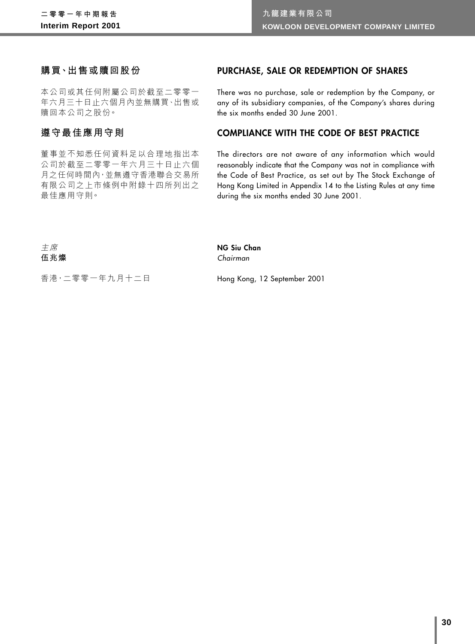## **購買、出售或贖回股份**

本公司或其任何附屬公司於截至二零零一 年六月三十日止六個月內並無購買、出售或 贖回本公司之股份。

## **遵守最佳應用守則**

董事並不知悉任何資料足以合理地指出本 公司於截至二零零一年六月三十日止六個 月之任何時間內,並無遵守香港聯合交易所 有限公司之上市條例中附錄十四所列出之 最佳應用守則。

## **PURCHASE, SALE OR REDEMPTION OF SHARES**

There was no purchase, sale or redemption by the Company, or any of its subsidiary companies, of the Company's shares during the six months ended 30 June 2001.

## **COMPLIANCE WITH THE CODE OF BEST PRACTICE**

The directors are not aware of any information which would reasonably indicate that the Company was not in compliance with the Code of Best Practice, as set out by The Stock Exchange of Hong Kong Limited in Appendix 14 to the Listing Rules at any time during the six months ended 30 June 2001.

主席 **伍兆燦**

#### **NG Siu Chan** Chairman

香港,二零零一年九月十二日

Hong Kong, 12 September 2001